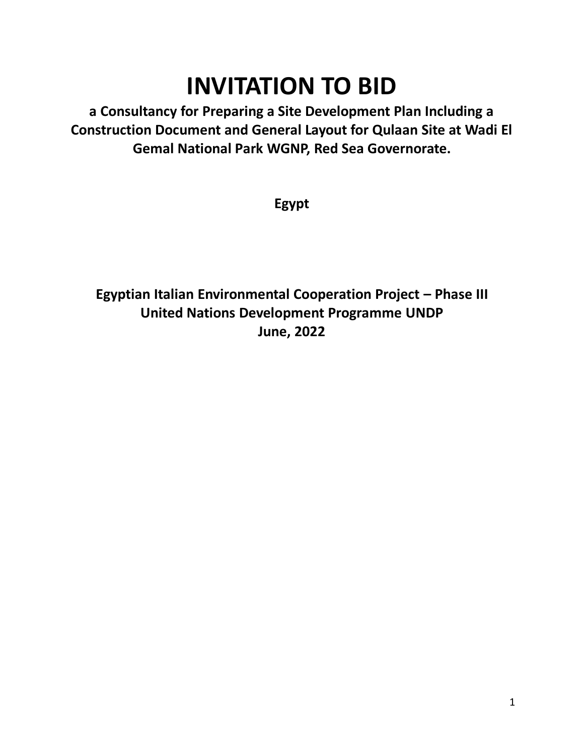# **INVITATION TO BID**

**a Consultancy for Preparing a Site Development Plan Including a Construction Document and General Layout for Qulaan Site at Wadi El Gemal National Park WGNP, Red Sea Governorate.** 

**Egypt**

**Egyptian Italian Environmental Cooperation Project – Phase III United Nations Development Programme UNDP June, 2022**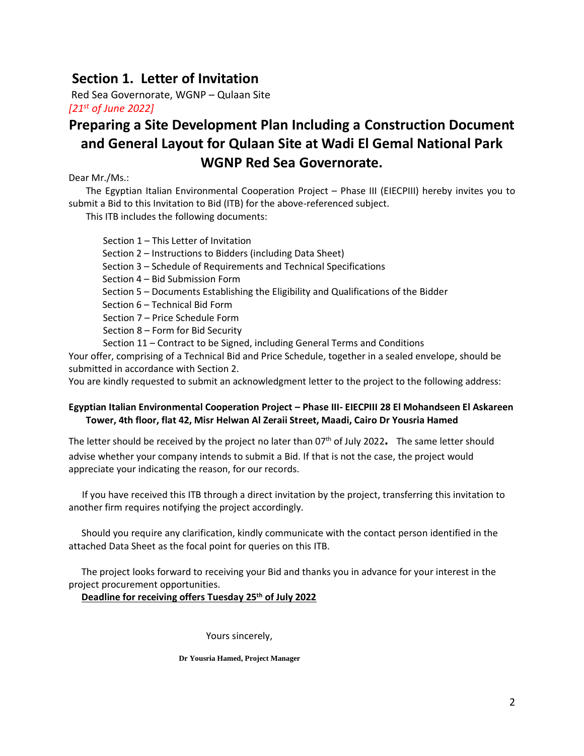### **Section 1. Letter of Invitation**

Red Sea Governorate, WGNP – Qulaan Site *[21st of June 2022]*

### **Preparing a Site Development Plan Including a Construction Document and General Layout for Qulaan Site at Wadi El Gemal National Park WGNP Red Sea Governorate.**

Dear Mr./Ms.:

The Egyptian Italian Environmental Cooperation Project – Phase III (EIECPIII) hereby invites you to submit a Bid to this Invitation to Bid (ITB) for the above-referenced subject.

This ITB includes the following documents:

| Section 1 – This Letter of Invitation                                                      |
|--------------------------------------------------------------------------------------------|
| Section 2 – Instructions to Bidders (including Data Sheet)                                 |
| Section 3 – Schedule of Requirements and Technical Specifications                          |
| Section 4 – Bid Submission Form                                                            |
| Section 5 – Documents Establishing the Eligibility and Qualifications of the Bidder        |
| Section 6 - Technical Bid Form                                                             |
| Section 7 – Price Schedule Form                                                            |
| Section 8 – Form for Bid Security                                                          |
| Section 11 – Contract to be Signed, including General Terms and Conditions                 |
| fer comprising of a Technical Rid and Price Schedule, together in a sealed envelope, shoul |

Your offer, comprising of a Technical Bid and Price Schedule, together in a sealed envelope, should be submitted in accordance with Section 2.

You are kindly requested to submit an acknowledgment letter to the project to the following address:

#### **Egyptian Italian Environmental Cooperation Project – Phase III- EIECPIII 28 El Mohandseen El Askareen Tower, 4th floor, flat 42, Misr Helwan Al Zeraii Street, Maadi, Cairo Dr Yousria Hamed**

The letter should be received by the project no later than 07<sup>th</sup> of July 2022. The same letter should advise whether your company intends to submit a Bid. If that is not the case, the project would appreciate your indicating the reason, for our records.

If you have received this ITB through a direct invitation by the project, transferring this invitation to another firm requires notifying the project accordingly.

Should you require any clarification, kindly communicate with the contact person identified in the attached Data Sheet as the focal point for queries on this ITB.

The project looks forward to receiving your Bid and thanks you in advance for your interest in the project procurement opportunities.

**Deadline for receiving offers Tuesday 25th of July 2022**

Yours sincerely,

**Dr Yousria Hamed, Project Manager**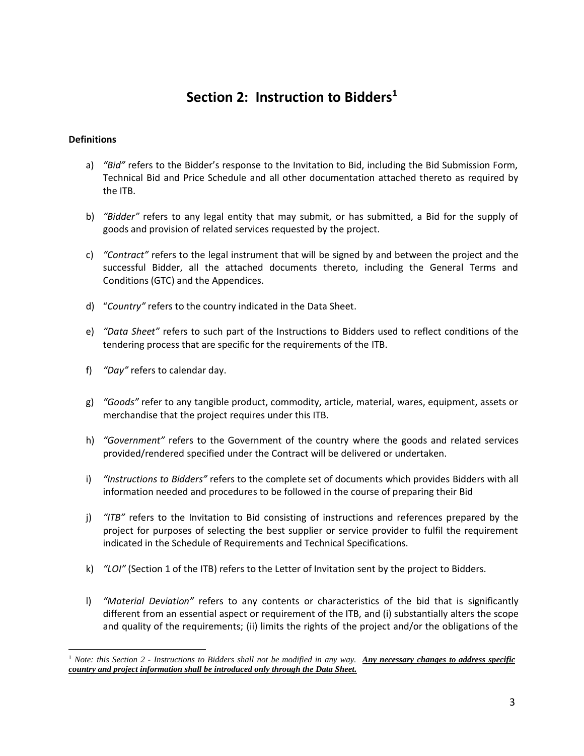### **Section 2: Instruction to Bidders<sup>1</sup>**

#### **Definitions**

- a) *"Bid"* refers to the Bidder's response to the Invitation to Bid, including the Bid Submission Form, Technical Bid and Price Schedule and all other documentation attached thereto as required by the ITB.
- b) *"Bidder"* refers to any legal entity that may submit, or has submitted, a Bid for the supply of goods and provision of related services requested by the project.
- c) *"Contract"* refers to the legal instrument that will be signed by and between the project and the successful Bidder, all the attached documents thereto, including the General Terms and Conditions (GTC) and the Appendices.
- d) "*Country"* refers to the country indicated in the Data Sheet.
- e) *"Data Sheet"* refers to such part of the Instructions to Bidders used to reflect conditions of the tendering process that are specific for the requirements of the ITB.
- f) *"Day"* refers to calendar day.
- g) *"Goods"* refer to any tangible product, commodity, article, material, wares, equipment, assets or merchandise that the project requires under this ITB.
- h) *"Government"* refers to the Government of the country where the goods and related services provided/rendered specified under the Contract will be delivered or undertaken.
- i) *"Instructions to Bidders"* refers to the complete set of documents which provides Bidders with all information needed and procedures to be followed in the course of preparing their Bid
- j) *"ITB"* refers to the Invitation to Bid consisting of instructions and references prepared by the project for purposes of selecting the best supplier or service provider to fulfil the requirement indicated in the Schedule of Requirements and Technical Specifications.
- k) *"LOI"* (Section 1 of the ITB) refers to the Letter of Invitation sent by the project to Bidders.
- l) *"Material Deviation"* refers to any contents or characteristics of the bid that is significantly different from an essential aspect or requirement of the ITB, and (i) substantially alters the scope and quality of the requirements; (ii) limits the rights of the project and/or the obligations of the

<sup>1</sup> *Note: this Section 2 - Instructions to Bidders shall not be modified in any way. Any necessary changes to address specific country and project information shall be introduced only through the Data Sheet.*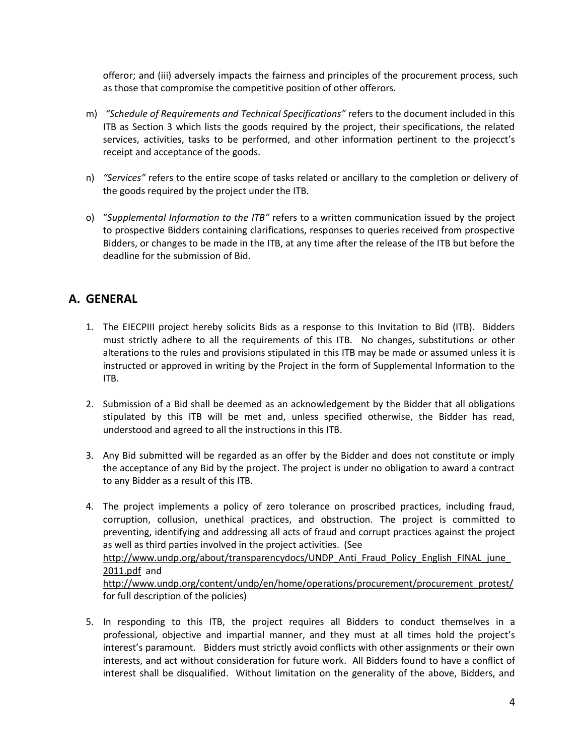offeror; and (iii) adversely impacts the fairness and principles of the procurement process, such as those that compromise the competitive position of other offerors.

- m) *"Schedule of Requirements and Technical Specifications"* refers to the document included in this ITB as Section 3 which lists the goods required by the project, their specifications, the related services, activities, tasks to be performed, and other information pertinent to the projecct's receipt and acceptance of the goods.
- n) *"Services"* refers to the entire scope of tasks related or ancillary to the completion or delivery of the goods required by the project under the ITB.
- o) "*Supplemental Information to the ITB"* refers to a written communication issued by the project to prospective Bidders containing clarifications, responses to queries received from prospective Bidders, or changes to be made in the ITB, at any time after the release of the ITB but before the deadline for the submission of Bid.

### **A. GENERAL**

- 1. The EIECPIII project hereby solicits Bids as a response to this Invitation to Bid (ITB). Bidders must strictly adhere to all the requirements of this ITB. No changes, substitutions or other alterations to the rules and provisions stipulated in this ITB may be made or assumed unless it is instructed or approved in writing by the Project in the form of Supplemental Information to the ITB.
- 2. Submission of a Bid shall be deemed as an acknowledgement by the Bidder that all obligations stipulated by this ITB will be met and, unless specified otherwise, the Bidder has read, understood and agreed to all the instructions in this ITB.
- 3. Any Bid submitted will be regarded as an offer by the Bidder and does not constitute or imply the acceptance of any Bid by the project. The project is under no obligation to award a contract to any Bidder as a result of this ITB.
- 4. The project implements a policy of zero tolerance on proscribed practices, including fraud, corruption, collusion, unethical practices, and obstruction. The project is committed to preventing, identifying and addressing all acts of fraud and corrupt practices against the project as well as third parties involved in the project activities. (See http://www.undp.org/about/transparencydocs/UNDP Anti Fraud Policy English FINAL june [2011.pdf](http://www.undp.org/about/transparencydocs/UNDP_Anti_Fraud_Policy_English_FINAL_june_2011.pdf) and [http://www.undp.org/content/undp/en/home/operations/procurement/procurement\\_protest/](http://www.undp.org/content/undp/en/home/operations/procurement/procurement_protest/) for full description of the policies)
- 5. In responding to this ITB, the project requires all Bidders to conduct themselves in a professional, objective and impartial manner, and they must at all times hold the project's interest's paramount. Bidders must strictly avoid conflicts with other assignments or their own interests, and act without consideration for future work. All Bidders found to have a conflict of interest shall be disqualified. Without limitation on the generality of the above, Bidders, and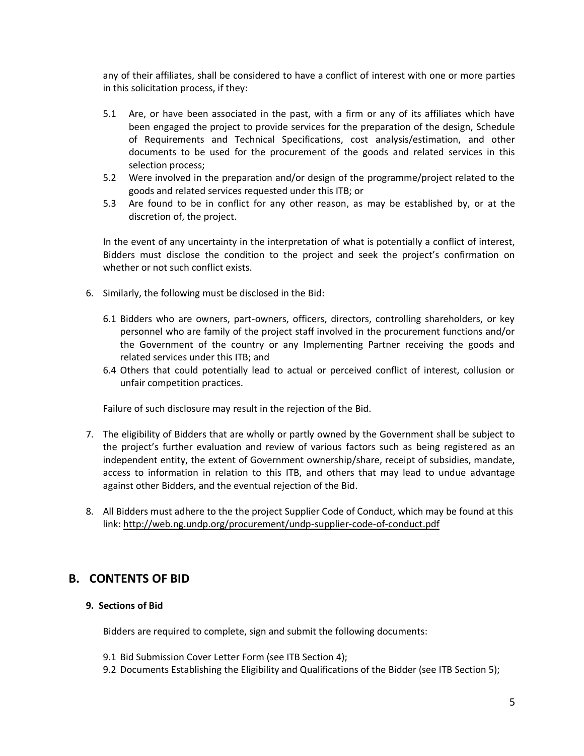any of their affiliates, shall be considered to have a conflict of interest with one or more parties in this solicitation process, if they:

- 5.1 Are, or have been associated in the past, with a firm or any of its affiliates which have been engaged the project to provide services for the preparation of the design, Schedule of Requirements and Technical Specifications, cost analysis/estimation, and other documents to be used for the procurement of the goods and related services in this selection process;
- 5.2 Were involved in the preparation and/or design of the programme/project related to the goods and related services requested under this ITB; or
- 5.3 Are found to be in conflict for any other reason, as may be established by, or at the discretion of, the project.

In the event of any uncertainty in the interpretation of what is potentially a conflict of interest, Bidders must disclose the condition to the project and seek the project's confirmation on whether or not such conflict exists.

- 6. Similarly, the following must be disclosed in the Bid:
	- 6.1 Bidders who are owners, part-owners, officers, directors, controlling shareholders, or key personnel who are family of the project staff involved in the procurement functions and/or the Government of the country or any Implementing Partner receiving the goods and related services under this ITB; and
	- 6.4 Others that could potentially lead to actual or perceived conflict of interest, collusion or unfair competition practices.

Failure of such disclosure may result in the rejection of the Bid.

- 7. The eligibility of Bidders that are wholly or partly owned by the Government shall be subject to the project's further evaluation and review of various factors such as being registered as an independent entity, the extent of Government ownership/share, receipt of subsidies, mandate, access to information in relation to this ITB, and others that may lead to undue advantage against other Bidders, and the eventual rejection of the Bid.
- 8. All Bidders must adhere to the the project Supplier Code of Conduct, which may be found at this link:<http://web.ng.undp.org/procurement/undp-supplier-code-of-conduct.pdf>

### **B. CONTENTS OF BID**

#### **9. Sections of Bid**

Bidders are required to complete, sign and submit the following documents:

- 9.1 Bid Submission Cover Letter Form (see ITB Section 4);
- 9.2 Documents Establishing the Eligibility and Qualifications of the Bidder (see ITB Section 5);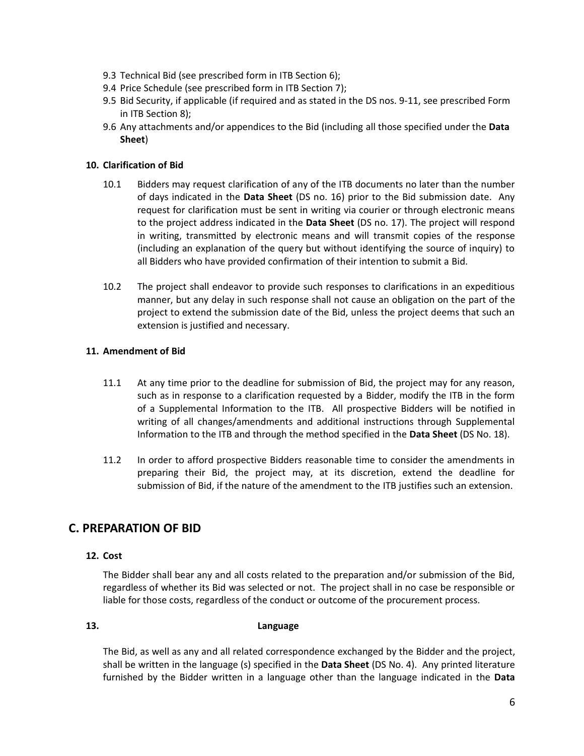- 9.3 Technical Bid (see prescribed form in ITB Section 6);
- 9.4 Price Schedule (see prescribed form in ITB Section 7);
- 9.5 Bid Security, if applicable (if required and as stated in the DS nos. 9-11, see prescribed Form in ITB Section 8);
- 9.6 Any attachments and/or appendices to the Bid (including all those specified under the **Data Sheet**)

#### **10. Clarification of Bid**

- 10.1 Bidders may request clarification of any of the ITB documents no later than the number of days indicated in the **Data Sheet** (DS no. 16) prior to the Bid submission date. Any request for clarification must be sent in writing via courier or through electronic means to the project address indicated in the **Data Sheet** (DS no. 17). The project will respond in writing, transmitted by electronic means and will transmit copies of the response (including an explanation of the query but without identifying the source of inquiry) to all Bidders who have provided confirmation of their intention to submit a Bid.
- 10.2 The project shall endeavor to provide such responses to clarifications in an expeditious manner, but any delay in such response shall not cause an obligation on the part of the project to extend the submission date of the Bid, unless the project deems that such an extension is justified and necessary.

#### **11. Amendment of Bid**

- 11.1 At any time prior to the deadline for submission of Bid, the project may for any reason, such as in response to a clarification requested by a Bidder, modify the ITB in the form of a Supplemental Information to the ITB. All prospective Bidders will be notified in writing of all changes/amendments and additional instructions through Supplemental Information to the ITB and through the method specified in the **Data Sheet** (DS No. 18).
- 11.2 In order to afford prospective Bidders reasonable time to consider the amendments in preparing their Bid, the project may, at its discretion, extend the deadline for submission of Bid, if the nature of the amendment to the ITB justifies such an extension.

#### **C. PREPARATION OF BID**

#### **12. Cost**

The Bidder shall bear any and all costs related to the preparation and/or submission of the Bid, regardless of whether its Bid was selected or not. The project shall in no case be responsible or liable for those costs, regardless of the conduct or outcome of the procurement process.

#### **13. Language**

The Bid, as well as any and all related correspondence exchanged by the Bidder and the project, shall be written in the language (s) specified in the **Data Sheet** (DS No. 4). Any printed literature furnished by the Bidder written in a language other than the language indicated in the **Data**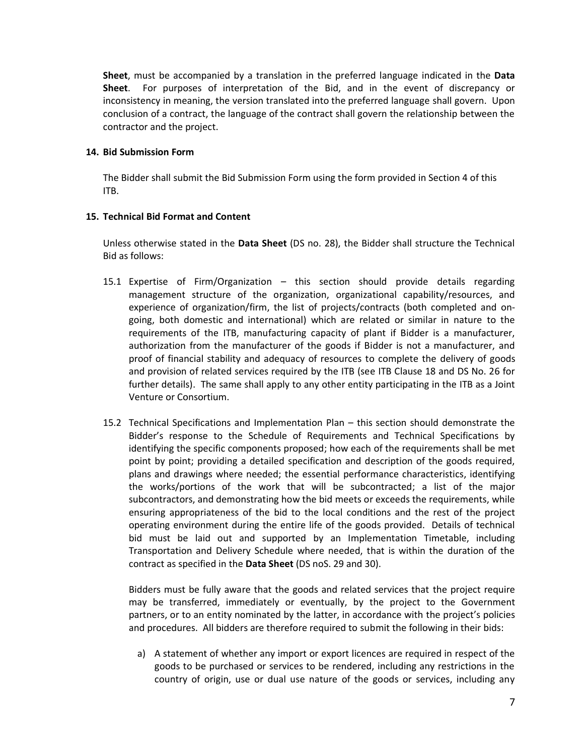**Sheet**, must be accompanied by a translation in the preferred language indicated in the **Data Sheet**. For purposes of interpretation of the Bid, and in the event of discrepancy or inconsistency in meaning, the version translated into the preferred language shall govern. Upon conclusion of a contract, the language of the contract shall govern the relationship between the contractor and the project.

#### **14. Bid Submission Form**

The Bidder shall submit the Bid Submission Form using the form provided in Section 4 of this ITB.

#### **15. Technical Bid Format and Content**

Unless otherwise stated in the **Data Sheet** (DS no. 28), the Bidder shall structure the Technical Bid as follows:

- 15.1 Expertise of Firm/Organization this section should provide details regarding management structure of the organization, organizational capability/resources, and experience of organization/firm, the list of projects/contracts (both completed and ongoing, both domestic and international) which are related or similar in nature to the requirements of the ITB, manufacturing capacity of plant if Bidder is a manufacturer, authorization from the manufacturer of the goods if Bidder is not a manufacturer, and proof of financial stability and adequacy of resources to complete the delivery of goods and provision of related services required by the ITB (see ITB Clause 18 and DS No. 26 for further details). The same shall apply to any other entity participating in the ITB as a Joint Venture or Consortium.
- 15.2 Technical Specifications and Implementation Plan this section should demonstrate the Bidder's response to the Schedule of Requirements and Technical Specifications by identifying the specific components proposed; how each of the requirements shall be met point by point; providing a detailed specification and description of the goods required, plans and drawings where needed; the essential performance characteristics, identifying the works/portions of the work that will be subcontracted; a list of the major subcontractors, and demonstrating how the bid meets or exceeds the requirements, while ensuring appropriateness of the bid to the local conditions and the rest of the project operating environment during the entire life of the goods provided. Details of technical bid must be laid out and supported by an Implementation Timetable, including Transportation and Delivery Schedule where needed, that is within the duration of the contract as specified in the **Data Sheet** (DS noS. 29 and 30).

Bidders must be fully aware that the goods and related services that the project require may be transferred, immediately or eventually, by the project to the Government partners, or to an entity nominated by the latter, in accordance with the project's policies and procedures. All bidders are therefore required to submit the following in their bids:

a) A statement of whether any import or export licences are required in respect of the goods to be purchased or services to be rendered, including any restrictions in the country of origin, use or dual use nature of the goods or services, including any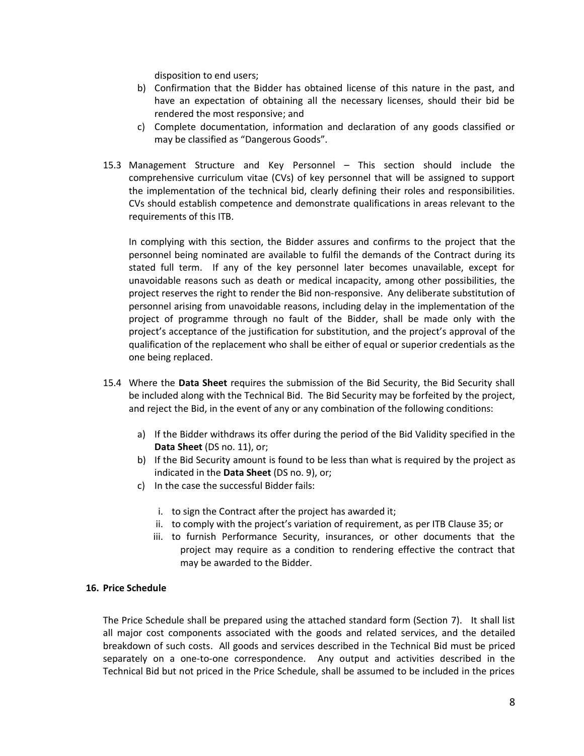disposition to end users;

- b) Confirmation that the Bidder has obtained license of this nature in the past, and have an expectation of obtaining all the necessary licenses, should their bid be rendered the most responsive; and
- c) Complete documentation, information and declaration of any goods classified or may be classified as "Dangerous Goods".
- 15.3 Management Structure and Key Personnel This section should include the comprehensive curriculum vitae (CVs) of key personnel that will be assigned to support the implementation of the technical bid, clearly defining their roles and responsibilities. CVs should establish competence and demonstrate qualifications in areas relevant to the requirements of this ITB.

In complying with this section, the Bidder assures and confirms to the project that the personnel being nominated are available to fulfil the demands of the Contract during its stated full term. If any of the key personnel later becomes unavailable, except for unavoidable reasons such as death or medical incapacity, among other possibilities, the project reserves the right to render the Bid non-responsive. Any deliberate substitution of personnel arising from unavoidable reasons, including delay in the implementation of the project of programme through no fault of the Bidder, shall be made only with the project's acceptance of the justification for substitution, and the project's approval of the qualification of the replacement who shall be either of equal or superior credentials as the one being replaced.

- 15.4 Where the **Data Sheet** requires the submission of the Bid Security, the Bid Security shall be included along with the Technical Bid. The Bid Security may be forfeited by the project, and reject the Bid, in the event of any or any combination of the following conditions:
	- a) If the Bidder withdraws its offer during the period of the Bid Validity specified in the **Data Sheet** (DS no. 11), or;
	- b) If the Bid Security amount is found to be less than what is required by the project as indicated in the **Data Sheet** (DS no. 9), or;
	- c) In the case the successful Bidder fails:
		- i. to sign the Contract after the project has awarded it;
		- ii. to comply with the project's variation of requirement, as per ITB Clause 35; or
		- iii. to furnish Performance Security, insurances, or other documents that the project may require as a condition to rendering effective the contract that may be awarded to the Bidder.

#### **16. Price Schedule**

The Price Schedule shall be prepared using the attached standard form (Section 7). It shall list all major cost components associated with the goods and related services, and the detailed breakdown of such costs. All goods and services described in the Technical Bid must be priced separately on a one-to-one correspondence. Any output and activities described in the Technical Bid but not priced in the Price Schedule, shall be assumed to be included in the prices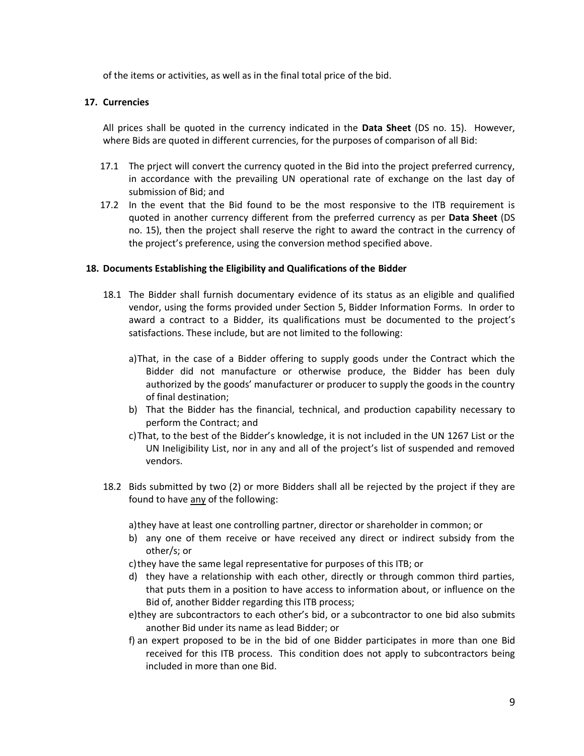of the items or activities, as well as in the final total price of the bid.

#### **17. Currencies**

All prices shall be quoted in the currency indicated in the **Data Sheet** (DS no. 15). However, where Bids are quoted in different currencies, for the purposes of comparison of all Bid:

- 17.1 The prject will convert the currency quoted in the Bid into the project preferred currency, in accordance with the prevailing UN operational rate of exchange on the last day of submission of Bid; and
- 17.2 In the event that the Bid found to be the most responsive to the ITB requirement is quoted in another currency different from the preferred currency as per **Data Sheet** (DS no. 15), then the project shall reserve the right to award the contract in the currency of the project's preference, using the conversion method specified above.

#### **18. Documents Establishing the Eligibility and Qualifications of the Bidder**

- 18.1 The Bidder shall furnish documentary evidence of its status as an eligible and qualified vendor, using the forms provided under Section 5, Bidder Information Forms. In order to award a contract to a Bidder, its qualifications must be documented to the project's satisfactions. These include, but are not limited to the following:
	- a)That, in the case of a Bidder offering to supply goods under the Contract which the Bidder did not manufacture or otherwise produce, the Bidder has been duly authorized by the goods' manufacturer or producer to supply the goods in the country of final destination;
	- b) That the Bidder has the financial, technical, and production capability necessary to perform the Contract; and
	- c)That, to the best of the Bidder's knowledge, it is not included in the UN 1267 List or the UN Ineligibility List, nor in any and all of the project's list of suspended and removed vendors.
- 18.2 Bids submitted by two (2) or more Bidders shall all be rejected by the project if they are found to have any of the following:

a)they have at least one controlling partner, director or shareholder in common; or

- b) any one of them receive or have received any direct or indirect subsidy from the other/s; or
- c)they have the same legal representative for purposes of this ITB; or
- d) they have a relationship with each other, directly or through common third parties, that puts them in a position to have access to information about, or influence on the Bid of, another Bidder regarding this ITB process;
- e)they are subcontractors to each other's bid, or a subcontractor to one bid also submits another Bid under its name as lead Bidder; or
- f) an expert proposed to be in the bid of one Bidder participates in more than one Bid received for this ITB process. This condition does not apply to subcontractors being included in more than one Bid.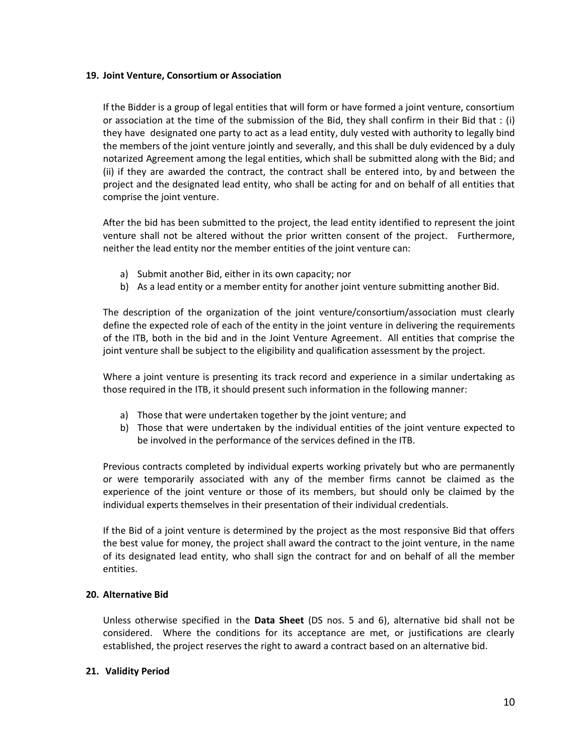#### **19. Joint Venture, Consortium or Association**

If the Bidder is a group of legal entities that will form or have formed a joint venture, consortium or association at the time of the submission of the Bid, they shall confirm in their Bid that : (i) they have designated one party to act as a lead entity, duly vested with authority to legally bind the members of the joint venture jointly and severally, and this shall be duly evidenced by a duly notarized Agreement among the legal entities, which shall be submitted along with the Bid; and (ii) if they are awarded the contract, the contract shall be entered into, by and between the project and the designated lead entity, who shall be acting for and on behalf of all entities that comprise the joint venture.

After the bid has been submitted to the project, the lead entity identified to represent the joint venture shall not be altered without the prior written consent of the project. Furthermore, neither the lead entity nor the member entities of the joint venture can:

- a) Submit another Bid, either in its own capacity; nor
- b) As a lead entity or a member entity for another joint venture submitting another Bid.

The description of the organization of the joint venture/consortium/association must clearly define the expected role of each of the entity in the joint venture in delivering the requirements of the ITB, both in the bid and in the Joint Venture Agreement. All entities that comprise the joint venture shall be subject to the eligibility and qualification assessment by the project.

Where a joint venture is presenting its track record and experience in a similar undertaking as those required in the ITB, it should present such information in the following manner:

- a) Those that were undertaken together by the joint venture; and
- b) Those that were undertaken by the individual entities of the joint venture expected to be involved in the performance of the services defined in the ITB.

Previous contracts completed by individual experts working privately but who are permanently or were temporarily associated with any of the member firms cannot be claimed as the experience of the joint venture or those of its members, but should only be claimed by the individual experts themselves in their presentation of their individual credentials.

If the Bid of a joint venture is determined by the project as the most responsive Bid that offers the best value for money, the project shall award the contract to the joint venture, in the name of its designated lead entity, who shall sign the contract for and on behalf of all the member entities.

#### **20. Alternative Bid**

Unless otherwise specified in the **Data Sheet** (DS nos. 5 and 6), alternative bid shall not be considered. Where the conditions for its acceptance are met, or justifications are clearly established, the project reserves the right to award a contract based on an alternative bid.

#### **21. Validity Period**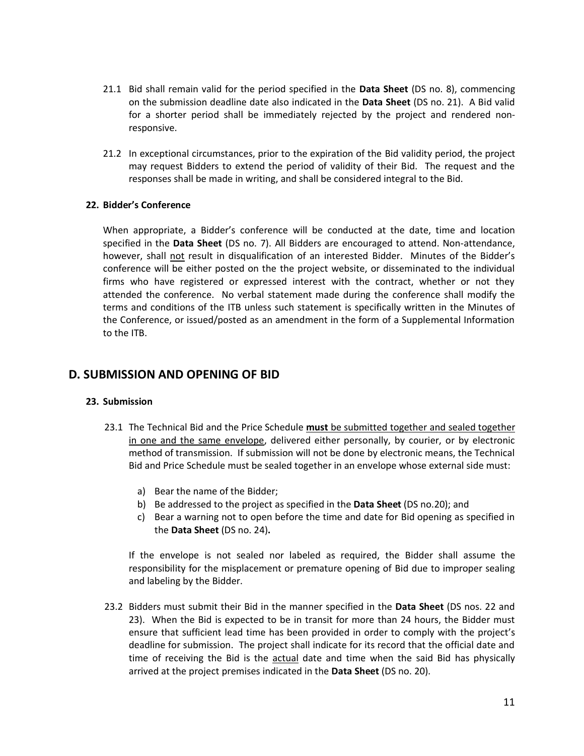- 21.1 Bid shall remain valid for the period specified in the **Data Sheet** (DS no. 8), commencing on the submission deadline date also indicated in the **Data Sheet** (DS no. 21). A Bid valid for a shorter period shall be immediately rejected by the project and rendered nonresponsive.
- 21.2 In exceptional circumstances, prior to the expiration of the Bid validity period, the project may request Bidders to extend the period of validity of their Bid.The request and the responses shall be made in writing, and shall be considered integral to the Bid.

#### **22. Bidder's Conference**

When appropriate, a Bidder's conference will be conducted at the date, time and location specified in the **Data Sheet** (DS no. 7). All Bidders are encouraged to attend. Non-attendance, however, shall not result in disqualification of an interested Bidder. Minutes of the Bidder's conference will be either posted on the the project website, or disseminated to the individual firms who have registered or expressed interest with the contract, whether or not they attended the conference. No verbal statement made during the conference shall modify the terms and conditions of the ITB unless such statement is specifically written in the Minutes of the Conference, or issued/posted as an amendment in the form of a Supplemental Information to the ITB.

#### **D. SUBMISSION AND OPENING OF BID**

#### **23. Submission**

- 23.1 The Technical Bid and the Price Schedule **must** be submitted together and sealed together in one and the same envelope, delivered either personally, by courier, or by electronic method of transmission. If submission will not be done by electronic means, the Technical Bid and Price Schedule must be sealed together in an envelope whose external side must:
	- a) Bear the name of the Bidder;
	- b) Be addressed to the project as specified in the **Data Sheet** (DS no.20); and
	- c) Bear a warning not to open before the time and date for Bid opening as specified in the **Data Sheet** (DS no. 24)**.**

If the envelope is not sealed nor labeled as required, the Bidder shall assume the responsibility for the misplacement or premature opening of Bid due to improper sealing and labeling by the Bidder.

23.2 Bidders must submit their Bid in the manner specified in the **Data Sheet** (DS nos. 22 and 23). When the Bid is expected to be in transit for more than 24 hours, the Bidder must ensure that sufficient lead time has been provided in order to comply with the project's deadline for submission. The project shall indicate for its record that the official date and time of receiving the Bid is the **actual** date and time when the said Bid has physically arrived at the project premises indicated in the **Data Sheet** (DS no. 20).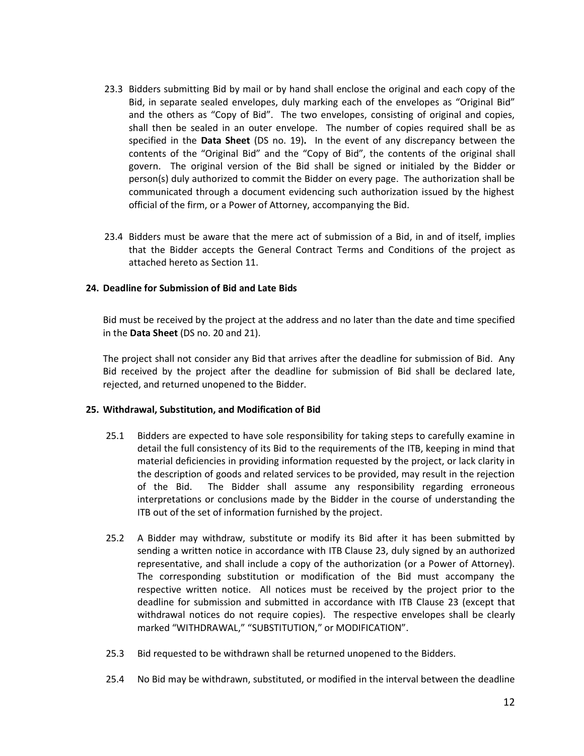- 23.3 Bidders submitting Bid by mail or by hand shall enclose the original and each copy of the Bid, in separate sealed envelopes, duly marking each of the envelopes as "Original Bid" and the others as "Copy of Bid". The two envelopes, consisting of original and copies, shall then be sealed in an outer envelope. The number of copies required shall be as specified in the **Data Sheet** (DS no. 19)**.** In the event of any discrepancy between the contents of the "Original Bid" and the "Copy of Bid", the contents of the original shall govern. The original version of the Bid shall be signed or initialed by the Bidder or person(s) duly authorized to commit the Bidder on every page. The authorization shall be communicated through a document evidencing such authorization issued by the highest official of the firm, or a Power of Attorney, accompanying the Bid.
- 23.4 Bidders must be aware that the mere act of submission of a Bid, in and of itself, implies that the Bidder accepts the General Contract Terms and Conditions of the project as attached hereto as Section 11.

#### **24. Deadline for Submission of Bid and Late Bids**

Bid must be received by the project at the address and no later than the date and time specified in the **Data Sheet** (DS no. 20 and 21).

The project shall not consider any Bid that arrives after the deadline for submission of Bid. Any Bid received by the project after the deadline for submission of Bid shall be declared late, rejected, and returned unopened to the Bidder.

#### **25. Withdrawal, Substitution, and Modification of Bid**

- 25.1 Bidders are expected to have sole responsibility for taking steps to carefully examine in detail the full consistency of its Bid to the requirements of the ITB, keeping in mind that material deficiencies in providing information requested by the project, or lack clarity in the description of goods and related services to be provided, may result in the rejection of the Bid. The Bidder shall assume any responsibility regarding erroneous interpretations or conclusions made by the Bidder in the course of understanding the ITB out of the set of information furnished by the project.
- 25.2 A Bidder may withdraw, substitute or modify its Bid after it has been submitted by sending a written notice in accordance with ITB Clause 23, duly signed by an authorized representative, and shall include a copy of the authorization (or a Power of Attorney). The corresponding substitution or modification of the Bid must accompany the respective written notice. All notices must be received by the project prior to the deadline for submission and submitted in accordance with ITB Clause 23 (except that withdrawal notices do not require copies). The respective envelopes shall be clearly marked "WITHDRAWAL," "SUBSTITUTION," or MODIFICATION".
- 25.3 Bid requested to be withdrawn shall be returned unopened to the Bidders.
- 25.4 No Bid may be withdrawn, substituted, or modified in the interval between the deadline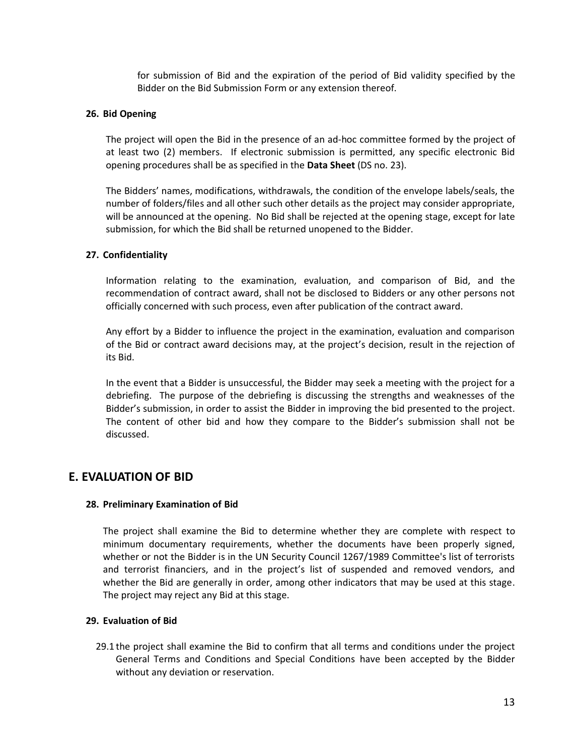for submission of Bid and the expiration of the period of Bid validity specified by the Bidder on the Bid Submission Form or any extension thereof.

#### **26. Bid Opening**

The project will open the Bid in the presence of an ad-hoc committee formed by the project of at least two (2) members. If electronic submission is permitted, any specific electronic Bid opening procedures shall be as specified in the **Data Sheet** (DS no. 23).

The Bidders' names, modifications, withdrawals, the condition of the envelope labels/seals, the number of folders/files and all other such other details as the project may consider appropriate, will be announced at the opening. No Bid shall be rejected at the opening stage, except for late submission, for which the Bid shall be returned unopened to the Bidder.

#### **27. Confidentiality**

Information relating to the examination, evaluation, and comparison of Bid, and the recommendation of contract award, shall not be disclosed to Bidders or any other persons not officially concerned with such process, even after publication of the contract award.

Any effort by a Bidder to influence the project in the examination, evaluation and comparison of the Bid or contract award decisions may, at the project's decision, result in the rejection of its Bid.

In the event that a Bidder is unsuccessful, the Bidder may seek a meeting with the project for a debriefing. The purpose of the debriefing is discussing the strengths and weaknesses of the Bidder's submission, in order to assist the Bidder in improving the bid presented to the project. The content of other bid and how they compare to the Bidder's submission shall not be discussed.

#### **E. EVALUATION OF BID**

#### **28. Preliminary Examination of Bid**

The project shall examine the Bid to determine whether they are complete with respect to minimum documentary requirements, whether the documents have been properly signed, whether or not the Bidder is in the UN Security Council 1267/1989 Committee's list of terrorists and terrorist financiers, and in the project's list of suspended and removed vendors, and whether the Bid are generally in order, among other indicators that may be used at this stage. The project may reject any Bid at this stage.

#### **29. Evaluation of Bid**

29.1 the project shall examine the Bid to confirm that all terms and conditions under the project General Terms and Conditions and Special Conditions have been accepted by the Bidder without any deviation or reservation.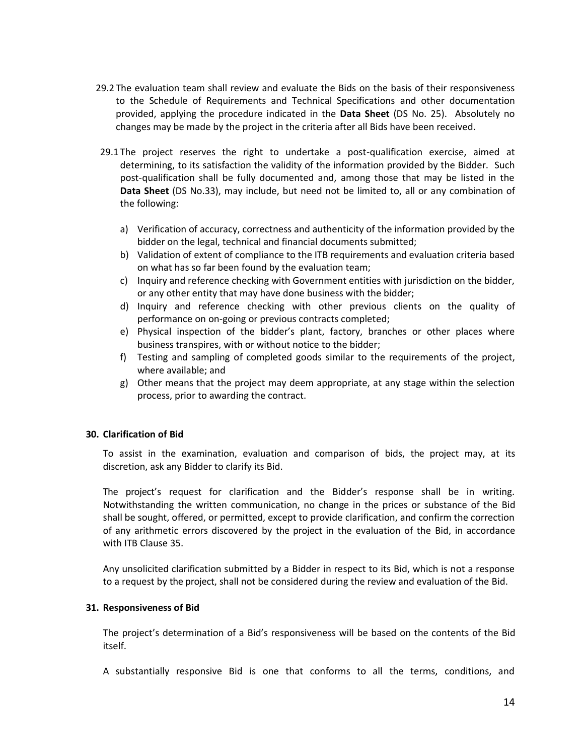- 29.2 The evaluation team shall review and evaluate the Bids on the basis of their responsiveness to the Schedule of Requirements and Technical Specifications and other documentation provided, applying the procedure indicated in the **Data Sheet** (DS No. 25). Absolutely no changes may be made by the project in the criteria after all Bids have been received.
- 29.1 The project reserves the right to undertake a post-qualification exercise, aimed at determining, to its satisfaction the validity of the information provided by the Bidder. Such post-qualification shall be fully documented and, among those that may be listed in the **Data Sheet** (DS No.33), may include, but need not be limited to, all or any combination of the following:
	- a) Verification of accuracy, correctness and authenticity of the information provided by the bidder on the legal, technical and financial documents submitted;
	- b) Validation of extent of compliance to the ITB requirements and evaluation criteria based on what has so far been found by the evaluation team;
	- c) Inquiry and reference checking with Government entities with jurisdiction on the bidder, or any other entity that may have done business with the bidder;
	- d) Inquiry and reference checking with other previous clients on the quality of performance on on-going or previous contracts completed;
	- e) Physical inspection of the bidder's plant, factory, branches or other places where business transpires, with or without notice to the bidder;
	- f) Testing and sampling of completed goods similar to the requirements of the project, where available; and
	- g) Other means that the project may deem appropriate, at any stage within the selection process, prior to awarding the contract.

#### **30. Clarification of Bid**

To assist in the examination, evaluation and comparison of bids, the project may, at its discretion, ask any Bidder to clarify its Bid.

The project's request for clarification and the Bidder's response shall be in writing. Notwithstanding the written communication, no change in the prices or substance of the Bid shall be sought, offered, or permitted, except to provide clarification, and confirm the correction of any arithmetic errors discovered by the project in the evaluation of the Bid, in accordance with ITB Clause 35.

Any unsolicited clarification submitted by a Bidder in respect to its Bid, which is not a response to a request by the project, shall not be considered during the review and evaluation of the Bid.

#### **31. Responsiveness of Bid**

The project's determination of a Bid's responsiveness will be based on the contents of the Bid itself.

A substantially responsive Bid is one that conforms to all the terms, conditions, and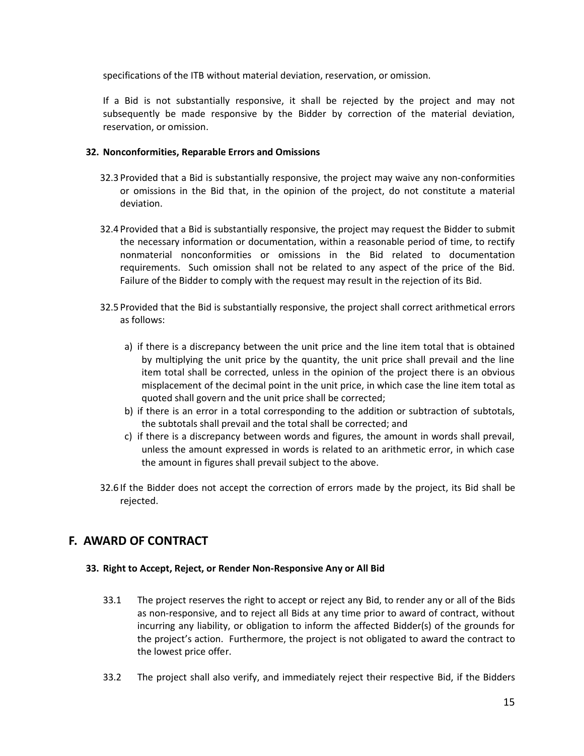specifications of the ITB without material deviation, reservation, or omission.

If a Bid is not substantially responsive, it shall be rejected by the project and may not subsequently be made responsive by the Bidder by correction of the material deviation, reservation, or omission.

#### **32. Nonconformities, Reparable Errors and Omissions**

- 32.3 Provided that a Bid is substantially responsive, the project may waive any non-conformities or omissions in the Bid that, in the opinion of the project, do not constitute a material deviation.
- 32.4 Provided that a Bid is substantially responsive, the project may request the Bidder to submit the necessary information or documentation, within a reasonable period of time, to rectify nonmaterial nonconformities or omissions in the Bid related to documentation requirements. Such omission shall not be related to any aspect of the price of the Bid. Failure of the Bidder to comply with the request may result in the rejection of its Bid.
- 32.5 Provided that the Bid is substantially responsive, the project shall correct arithmetical errors as follows:
	- a) if there is a discrepancy between the unit price and the line item total that is obtained by multiplying the unit price by the quantity, the unit price shall prevail and the line item total shall be corrected, unless in the opinion of the project there is an obvious misplacement of the decimal point in the unit price, in which case the line item total as quoted shall govern and the unit price shall be corrected;
	- b) if there is an error in a total corresponding to the addition or subtraction of subtotals, the subtotals shall prevail and the total shall be corrected; and
	- c) if there is a discrepancy between words and figures, the amount in words shall prevail, unless the amount expressed in words is related to an arithmetic error, in which case the amount in figures shall prevail subject to the above.
- 32.6 If the Bidder does not accept the correction of errors made by the project, its Bid shall be rejected.

### **F. AWARD OF CONTRACT**

#### **33. Right to Accept, Reject, or Render Non-Responsive Any or All Bid**

- 33.1 The project reserves the right to accept or reject any Bid, to render any or all of the Bids as non-responsive, and to reject all Bids at any time prior to award of contract, without incurring any liability, or obligation to inform the affected Bidder(s) of the grounds for the project's action. Furthermore, the project is not obligated to award the contract to the lowest price offer.
- 33.2 The project shall also verify, and immediately reject their respective Bid, if the Bidders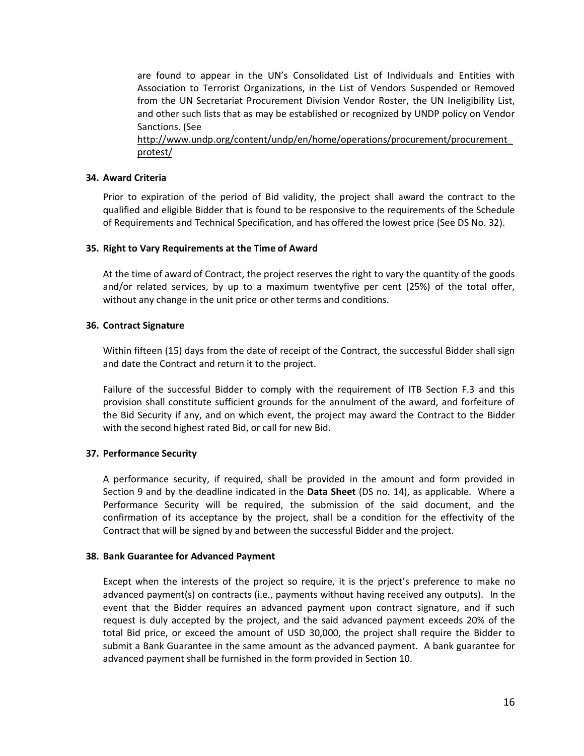are found to appear in the UN's Consolidated List of Individuals and Entities with Association to Terrorist Organizations, in the List of Vendors Suspended or Removed from the UN Secretariat Procurement Division Vendor Roster, the UN Ineligibility List, and other such lists that as may be established or recognized by UNDP policy on Vendor Sanctions. (See

[http://www.undp.org/content/undp/en/home/operations/procurement/procurement\\_](http://www.undp.org/content/undp/en/home/operations/procurement/procurement_protest/) [protest/](http://www.undp.org/content/undp/en/home/operations/procurement/procurement_protest/)

#### **34. Award Criteria**

Prior to expiration of the period of Bid validity, the project shall award the contract to the qualified and eligible Bidder that is found to be responsive to the requirements of the Schedule of Requirements and Technical Specification, and has offered the lowest price (See DS No. 32).

#### **35. Right to Vary Requirements at the Time of Award**

At the time of award of Contract, the project reserves the right to vary the quantity of the goods and/or related services, by up to a maximum twentyfive per cent (25%) of the total offer, without any change in the unit price or other terms and conditions.

#### **36. Contract Signature**

Within fifteen (15) days from the date of receipt of the Contract, the successful Bidder shall sign and date the Contract and return it to the project.

Failure of the successful Bidder to comply with the requirement of ITB Section F.3 and this provision shall constitute sufficient grounds for the annulment of the award, and forfeiture of the Bid Security if any, and on which event, the project may award the Contract to the Bidder with the second highest rated Bid, or call for new Bid.

#### **37. Performance Security**

A performance security, if required, shall be provided in the amount and form provided in Section 9 and by the deadline indicated in the **Data Sheet** (DS no. 14), as applicable. Where a Performance Security will be required, the submission of the said document, and the confirmation of its acceptance by the project, shall be a condition for the effectivity of the Contract that will be signed by and between the successful Bidder and the project.

#### **38. Bank Guarantee for Advanced Payment**

Except when the interests of the project so require, it is the prject's preference to make no advanced payment(s) on contracts (i.e., payments without having received any outputs). In the event that the Bidder requires an advanced payment upon contract signature, and if such request is duly accepted by the project, and the said advanced payment exceeds 20% of the total Bid price, or exceed the amount of USD 30,000, the project shall require the Bidder to submit a Bank Guarantee in the same amount as the advanced payment. A bank guarantee for advanced payment shall be furnished in the form provided in Section 10.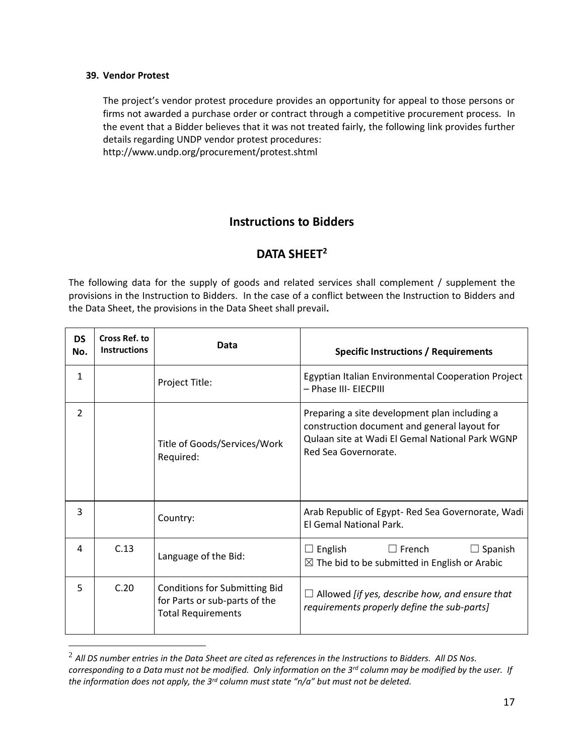#### **39. Vendor Protest**

The project's vendor protest procedure provides an opportunity for appeal to those persons or firms not awarded a purchase order or contract through a competitive procurement process. In the event that a Bidder believes that it was not treated fairly, the following link provides further details regarding UNDP vendor protest procedures:

<http://www.undp.org/procurement/protest.shtml>

### **Instructions to Bidders**

### **DATA SHEET<sup>2</sup>**

The following data for the supply of goods and related services shall complement / supplement the provisions in the Instruction to Bidders. In the case of a conflict between the Instruction to Bidders and the Data Sheet, the provisions in the Data Sheet shall prevail**.** 

| <b>DS</b><br>No. | Cross Ref. to<br><b>Instructions</b> | Data                                                                                               | <b>Specific Instructions / Requirements</b>                                                                                                                              |  |
|------------------|--------------------------------------|----------------------------------------------------------------------------------------------------|--------------------------------------------------------------------------------------------------------------------------------------------------------------------------|--|
| $\mathbf{1}$     |                                      | Project Title:                                                                                     | Egyptian Italian Environmental Cooperation Project<br>- Phase III- EIECPIII                                                                                              |  |
| $\overline{2}$   |                                      | Title of Goods/Services/Work<br>Required:                                                          | Preparing a site development plan including a<br>construction document and general layout for<br>Qulaan site at Wadi El Gemal National Park WGNP<br>Red Sea Governorate. |  |
| 3                |                                      | Country:                                                                                           | Arab Republic of Egypt- Red Sea Governorate, Wadi<br>El Gemal National Park.                                                                                             |  |
| 4                | C.13                                 | Language of the Bid:                                                                               | English<br>$\Box$ French<br>$\Box$ Spanish<br>$\Box$<br>$\boxtimes$ The bid to be submitted in English or Arabic                                                         |  |
| 5                | C.20                                 | <b>Conditions for Submitting Bid</b><br>for Parts or sub-parts of the<br><b>Total Requirements</b> | $\Box$ Allowed [if yes, describe how, and ensure that<br>requirements properly define the sub-parts]                                                                     |  |

<sup>2</sup> *All DS number entries in the Data Sheet are cited as references in the Instructions to Bidders. All DS Nos. corresponding to a Data must not be modified. Only information on the 3rd column may be modified by the user. If the information does not apply, the 3rd column must state "n/a" but must not be deleted.*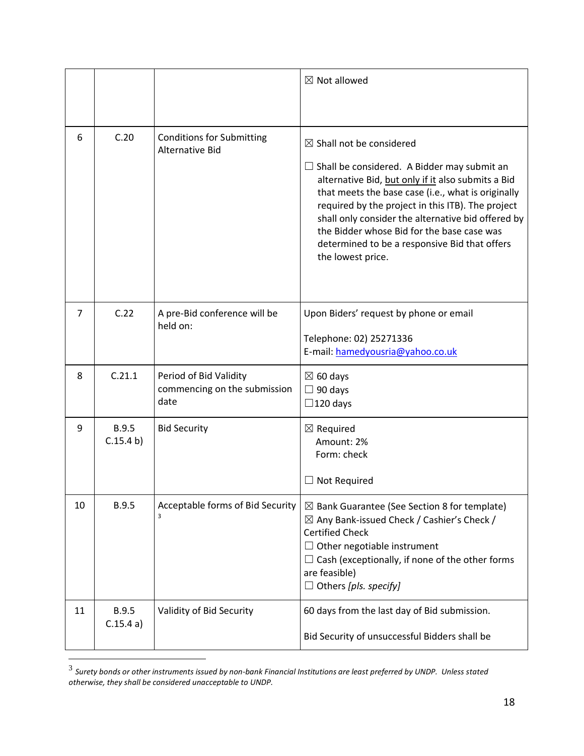|                |                           |                                                                | $\boxtimes$ Not allowed                                                                                                                                                                                                                                                                                                                                                                                                       |
|----------------|---------------------------|----------------------------------------------------------------|-------------------------------------------------------------------------------------------------------------------------------------------------------------------------------------------------------------------------------------------------------------------------------------------------------------------------------------------------------------------------------------------------------------------------------|
|                |                           |                                                                |                                                                                                                                                                                                                                                                                                                                                                                                                               |
| 6              | C.20                      | <b>Conditions for Submitting</b><br><b>Alternative Bid</b>     | $\boxtimes$ Shall not be considered<br>Shall be considered. A Bidder may submit an<br>alternative Bid, but only if it also submits a Bid<br>that meets the base case (i.e., what is originally<br>required by the project in this ITB). The project<br>shall only consider the alternative bid offered by<br>the Bidder whose Bid for the base case was<br>determined to be a responsive Bid that offers<br>the lowest price. |
| $\overline{7}$ | C.22                      | A pre-Bid conference will be<br>held on:                       | Upon Biders' request by phone or email<br>Telephone: 02) 25271336<br>E-mail: hamedyousria@yahoo.co.uk                                                                                                                                                                                                                                                                                                                         |
| 8              | C.21.1                    | Period of Bid Validity<br>commencing on the submission<br>date | $\boxtimes$ 60 days<br>90 days<br>$\Box$<br>$\Box$ 120 days                                                                                                                                                                                                                                                                                                                                                                   |
| 9              | <b>B.9.5</b><br>C.15.4 b) | <b>Bid Security</b>                                            | $\boxtimes$ Required<br>Amount: 2%<br>Form: check<br>Not Required<br>ப                                                                                                                                                                                                                                                                                                                                                        |
| 10             | <b>B.9.5</b>              | Acceptable forms of Bid Security                               | $\boxtimes$ Bank Guarantee (See Section 8 for template)<br>$\boxtimes$ Any Bank-issued Check / Cashier's Check /<br><b>Certified Check</b><br>Other negotiable instrument<br>ப<br>Cash (exceptionally, if none of the other forms<br>are feasible)<br>Others [pls. specify]<br>⊔                                                                                                                                              |
| 11             | B.9.5<br>C.15.4a)         | Validity of Bid Security                                       | 60 days from the last day of Bid submission.<br>Bid Security of unsuccessful Bidders shall be                                                                                                                                                                                                                                                                                                                                 |

<sup>3</sup> *Surety bonds or other instruments issued by non-bank Financial Institutions are least preferred by UNDP. Unless stated otherwise, they shall be considered unacceptable to UNDP.*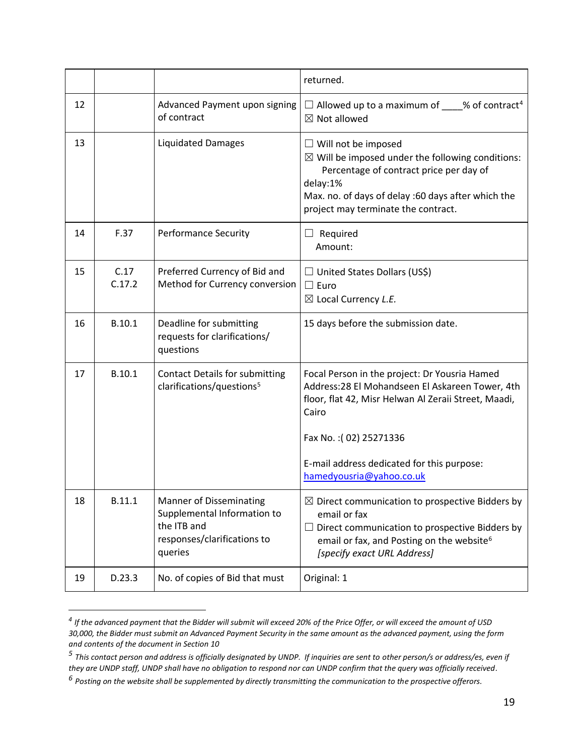|    |                |                                                                                                                        | returned.                                                                                                                                                                                                                                     |
|----|----------------|------------------------------------------------------------------------------------------------------------------------|-----------------------------------------------------------------------------------------------------------------------------------------------------------------------------------------------------------------------------------------------|
| 12 |                | Advanced Payment upon signing<br>of contract                                                                           | $\Box$ Allowed up to a maximum of ____% of contract <sup>4</sup><br>$\boxtimes$ Not allowed                                                                                                                                                   |
| 13 |                | <b>Liquidated Damages</b>                                                                                              | $\Box$ Will not be imposed<br>$\boxtimes$ Will be imposed under the following conditions:<br>Percentage of contract price per day of<br>delay:1%<br>Max. no. of days of delay :60 days after which the<br>project may terminate the contract. |
| 14 | F.37           | <b>Performance Security</b>                                                                                            | Required<br>$\Box$<br>Amount:                                                                                                                                                                                                                 |
| 15 | C.17<br>C.17.2 | Preferred Currency of Bid and<br>Method for Currency conversion                                                        | $\Box$ United States Dollars (US\$)<br>$\Box$ Euro<br>$\boxtimes$ Local Currency <i>L.E.</i>                                                                                                                                                  |
| 16 | B.10.1         | Deadline for submitting<br>requests for clarifications/<br>questions                                                   | 15 days before the submission date.                                                                                                                                                                                                           |
| 17 | B.10.1         | <b>Contact Details for submitting</b><br>clarifications/questions <sup>5</sup>                                         | Focal Person in the project: Dr Yousria Hamed<br>Address: 28 El Mohandseen El Askareen Tower, 4th<br>floor, flat 42, Misr Helwan Al Zeraii Street, Maadi,<br>Cairo                                                                            |
|    |                |                                                                                                                        | Fax No.: (02) 25271336                                                                                                                                                                                                                        |
|    |                |                                                                                                                        | E-mail address dedicated for this purpose:<br>hamedyousria@yahoo.co.uk                                                                                                                                                                        |
| 18 | B.11.1         | <b>Manner of Disseminating</b><br>Supplemental Information to<br>the ITB and<br>responses/clarifications to<br>queries | $\boxtimes$ Direct communication to prospective Bidders by<br>email or fax<br>Direct communication to prospective Bidders by<br>email or fax, and Posting on the website <sup>6</sup><br>[specify exact URL Address]                          |
| 19 | D.23.3         | No. of copies of Bid that must                                                                                         | Original: 1                                                                                                                                                                                                                                   |

*<sup>4</sup> If the advanced payment that the Bidder will submit will exceed 20% of the Price Offer, or will exceed the amount of USD 30,000, the Bidder must submit an Advanced Payment Security in the same amount as the advanced payment, using the form and contents of the document in Section 10*

<sup>&</sup>lt;sup>5</sup> This contact person and address is officially designated by UNDP. If inquiries are sent to other person/s or address/es, even if *they are UNDP staff, UNDP shall have no obligation to respond nor can UNDP confirm that the query was officially received.*

*<sup>6</sup> Posting on the website shall be supplemented by directly transmitting the communication to the prospective offerors.*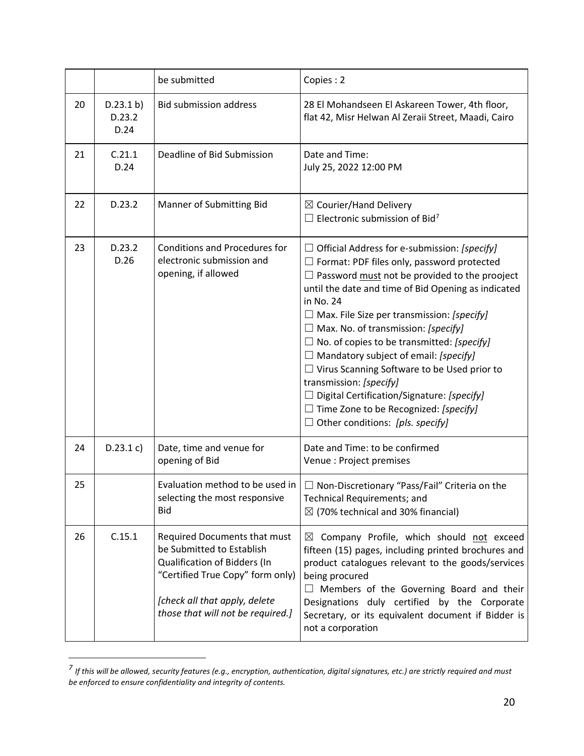|    |                             | be submitted                                                                                                                                                                                        | Copies: 2                                                                                                                                                                                                                                                                                                                                                                                                                                                                                                                                                                                                                                                          |
|----|-----------------------------|-----------------------------------------------------------------------------------------------------------------------------------------------------------------------------------------------------|--------------------------------------------------------------------------------------------------------------------------------------------------------------------------------------------------------------------------------------------------------------------------------------------------------------------------------------------------------------------------------------------------------------------------------------------------------------------------------------------------------------------------------------------------------------------------------------------------------------------------------------------------------------------|
| 20 | D.23.1 b)<br>D.23.2<br>D.24 | <b>Bid submission address</b>                                                                                                                                                                       | 28 El Mohandseen El Askareen Tower, 4th floor,<br>flat 42, Misr Helwan Al Zeraii Street, Maadi, Cairo                                                                                                                                                                                                                                                                                                                                                                                                                                                                                                                                                              |
| 21 | C.21.1<br>D.24              | Deadline of Bid Submission                                                                                                                                                                          | Date and Time:<br>July 25, 2022 12:00 PM                                                                                                                                                                                                                                                                                                                                                                                                                                                                                                                                                                                                                           |
| 22 | D.23.2                      | Manner of Submitting Bid                                                                                                                                                                            | $\boxtimes$ Courier/Hand Delivery<br>Electronic submission of Bid <sup>7</sup><br>$\perp$                                                                                                                                                                                                                                                                                                                                                                                                                                                                                                                                                                          |
| 23 | D.23.2<br>D.26              | <b>Conditions and Procedures for</b><br>electronic submission and<br>opening, if allowed                                                                                                            | $\Box$ Official Address for e-submission: [specify]<br>$\Box$ Format: PDF files only, password protected<br>Password must not be provided to the prooject<br>$\Box$<br>until the date and time of Bid Opening as indicated<br>in No. 24<br>$\Box$ Max. File Size per transmission: [specify]<br>$\Box$ Max. No. of transmission: [specify]<br>$\Box$ No. of copies to be transmitted: [specify]<br>$\Box$ Mandatory subject of email: [specify]<br>$\Box$ Virus Scanning Software to be Used prior to<br>transmission: [specify]<br>Digital Certification/Signature: [specify]<br>$\Box$ Time Zone to be Recognized: [specify]<br>Other conditions: [pls. specify] |
| 24 | D.23.1 c)                   | Date, time and venue for<br>opening of Bid                                                                                                                                                          | Date and Time: to be confirmed<br>Venue : Project premises                                                                                                                                                                                                                                                                                                                                                                                                                                                                                                                                                                                                         |
| 25 |                             | Evaluation method to be used in<br>selecting the most responsive<br><b>Bid</b>                                                                                                                      | $\Box$ Non-Discretionary "Pass/Fail" Criteria on the<br>Technical Requirements; and<br>$\boxtimes$ (70% technical and 30% financial)                                                                                                                                                                                                                                                                                                                                                                                                                                                                                                                               |
| 26 | C.15.1                      | Required Documents that must<br>be Submitted to Establish<br>Qualification of Bidders (In<br>"Certified True Copy" form only)<br>[check all that apply, delete<br>those that will not be required.] | $\boxtimes$ Company Profile, which should not exceed<br>fifteen (15) pages, including printed brochures and<br>product catalogues relevant to the goods/services<br>being procured<br>Members of the Governing Board and their<br>Designations duly certified by the Corporate<br>Secretary, or its equivalent document if Bidder is<br>not a corporation                                                                                                                                                                                                                                                                                                          |

*<sup>7</sup> If this will be allowed, security features (e.g., encryption, authentication, digital signatures, etc.) are strictly required and must be enforced to ensure confidentiality and integrity of contents.*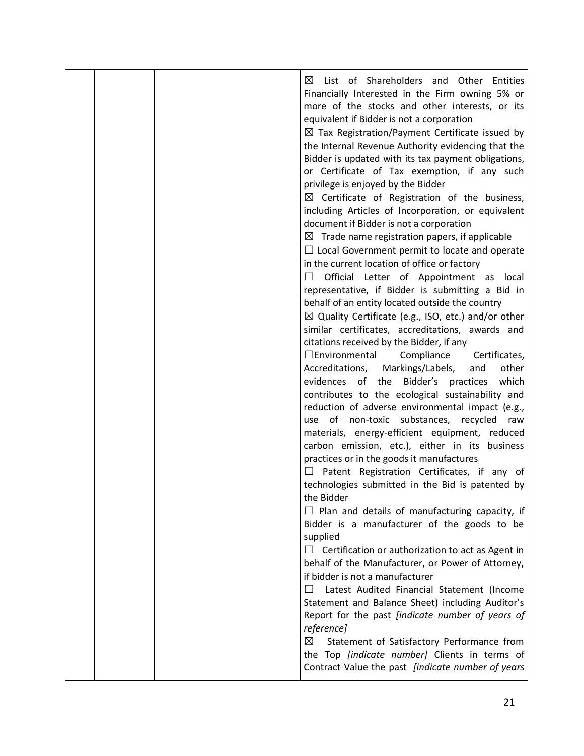|  | List of Shareholders and Other Entities<br>$\boxtimes$<br>Financially Interested in the Firm owning 5% or<br>more of the stocks and other interests, or its<br>equivalent if Bidder is not a corporation<br>$\boxtimes$ Tax Registration/Payment Certificate issued by<br>the Internal Revenue Authority evidencing that the<br>Bidder is updated with its tax payment obligations,<br>or Certificate of Tax exemption, if any such<br>privilege is enjoyed by the Bidder<br>$\boxtimes$ Certificate of Registration of the business,<br>including Articles of Incorporation, or equivalent<br>document if Bidder is not a corporation<br>$\boxtimes$ Trade name registration papers, if applicable<br>$\Box$ Local Government permit to locate and operate<br>in the current location of office or factory<br>Official Letter of Appointment as local<br>⊔<br>representative, if Bidder is submitting a Bid in<br>behalf of an entity located outside the country<br>$\boxtimes$ Quality Certificate (e.g., ISO, etc.) and/or other<br>similar certificates, accreditations, awards and<br>citations received by the Bidder, if any<br>$\square$ Environmental<br>Certificates,<br>Compliance<br>Accreditations,<br>Markings/Labels,<br>other<br>and<br>evidences of the Bidder's practices<br>which<br>contributes to the ecological sustainability and<br>reduction of adverse environmental impact (e.g.,<br>of non-toxic substances, recycled<br>use<br>raw<br>materials, energy-efficient equipment, reduced<br>carbon emission, etc.), either in its business<br>practices or in the goods it manufactures<br>Patent Registration Certificates, if any of<br>technologies submitted in the Bid is patented by<br>the Bidder<br>Plan and details of manufacturing capacity, if<br>Bidder is a manufacturer of the goods to be<br>supplied<br>Certification or authorization to act as Agent in<br>behalf of the Manufacturer, or Power of Attorney,<br>if bidder is not a manufacturer<br>Latest Audited Financial Statement (Income<br>Statement and Balance Sheet) including Auditor's<br>Report for the past [indicate number of years of |
|--|----------------------------------------------------------------------------------------------------------------------------------------------------------------------------------------------------------------------------------------------------------------------------------------------------------------------------------------------------------------------------------------------------------------------------------------------------------------------------------------------------------------------------------------------------------------------------------------------------------------------------------------------------------------------------------------------------------------------------------------------------------------------------------------------------------------------------------------------------------------------------------------------------------------------------------------------------------------------------------------------------------------------------------------------------------------------------------------------------------------------------------------------------------------------------------------------------------------------------------------------------------------------------------------------------------------------------------------------------------------------------------------------------------------------------------------------------------------------------------------------------------------------------------------------------------------------------------------------------------------------------------------------------------------------------------------------------------------------------------------------------------------------------------------------------------------------------------------------------------------------------------------------------------------------------------------------------------------------------------------------------------------------------------------------------------------------------------------------------------------------------------------------------|
|  | reference]<br>Statement of Satisfactory Performance from<br>$\bowtie$                                                                                                                                                                                                                                                                                                                                                                                                                                                                                                                                                                                                                                                                                                                                                                                                                                                                                                                                                                                                                                                                                                                                                                                                                                                                                                                                                                                                                                                                                                                                                                                                                                                                                                                                                                                                                                                                                                                                                                                                                                                                              |
|  | the Top <i>[indicate number]</i> Clients in terms of<br>Contract Value the past [indicate number of years                                                                                                                                                                                                                                                                                                                                                                                                                                                                                                                                                                                                                                                                                                                                                                                                                                                                                                                                                                                                                                                                                                                                                                                                                                                                                                                                                                                                                                                                                                                                                                                                                                                                                                                                                                                                                                                                                                                                                                                                                                          |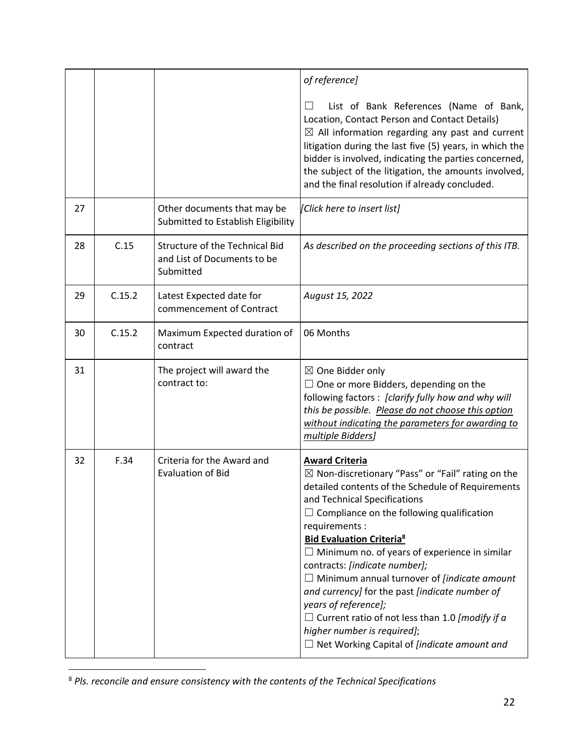|    |        |                                                                                   | of reference]                                                                                                                                                                                                                                                                                                                                                                                                                                                                                                                                                                                                                                            |
|----|--------|-----------------------------------------------------------------------------------|----------------------------------------------------------------------------------------------------------------------------------------------------------------------------------------------------------------------------------------------------------------------------------------------------------------------------------------------------------------------------------------------------------------------------------------------------------------------------------------------------------------------------------------------------------------------------------------------------------------------------------------------------------|
|    |        |                                                                                   | List of Bank References (Name of Bank,<br>Location, Contact Person and Contact Details)<br>$\boxtimes$ All information regarding any past and current<br>litigation during the last five (5) years, in which the<br>bidder is involved, indicating the parties concerned,<br>the subject of the litigation, the amounts involved,<br>and the final resolution if already concluded.                                                                                                                                                                                                                                                                      |
| 27 |        | Other documents that may be<br>Submitted to Establish Eligibility                 | [Click here to insert list]                                                                                                                                                                                                                                                                                                                                                                                                                                                                                                                                                                                                                              |
| 28 | C.15   | <b>Structure of the Technical Bid</b><br>and List of Documents to be<br>Submitted | As described on the proceeding sections of this ITB.                                                                                                                                                                                                                                                                                                                                                                                                                                                                                                                                                                                                     |
| 29 | C.15.2 | Latest Expected date for<br>commencement of Contract                              | August 15, 2022                                                                                                                                                                                                                                                                                                                                                                                                                                                                                                                                                                                                                                          |
| 30 | C.15.2 | Maximum Expected duration of<br>contract                                          | 06 Months                                                                                                                                                                                                                                                                                                                                                                                                                                                                                                                                                                                                                                                |
| 31 |        | The project will award the<br>contract to:                                        | $\boxtimes$ One Bidder only<br>$\Box$ One or more Bidders, depending on the<br>following factors : [clarify fully how and why will<br>this be possible. Please do not choose this option<br>without indicating the parameters for awarding to<br>multiple Bidders]                                                                                                                                                                                                                                                                                                                                                                                       |
| 32 | F.34   | Criteria for the Award and<br><b>Evaluation of Bid</b>                            | <b>Award Criteria</b><br>$\boxtimes$ Non-discretionary "Pass" or "Fail" rating on the<br>detailed contents of the Schedule of Requirements<br>and Technical Specifications<br>Compliance on the following qualification<br>requirements :<br><b>Bid Evaluation Criteria<sup>8</sup></b><br>$\Box$ Minimum no. of years of experience in similar<br>contracts: [indicate number];<br>Minimum annual turnover of [indicate amount<br>and currency] for the past [indicate number of<br>years of reference];<br>$\Box$ Current ratio of not less than 1.0 [modify if a<br>higher number is required];<br>$\Box$ Net Working Capital of [indicate amount and |

<sup>8</sup> *Pls. reconcile and ensure consistency with the contents of the Technical Specifications*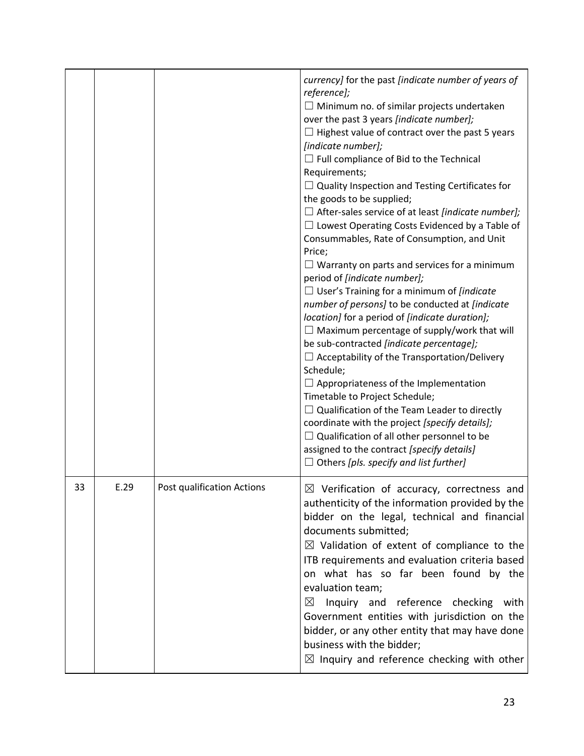|    |      |                            | currency] for the past [indicate number of years of<br>reference];<br>$\Box$ Minimum no. of similar projects undertaken<br>over the past 3 years [indicate number];<br>$\Box$ Highest value of contract over the past 5 years<br>[indicate number];<br>$\Box$ Full compliance of Bid to the Technical<br>Requirements;<br>$\Box$ Quality Inspection and Testing Certificates for<br>the goods to be supplied;<br>$\Box$ After-sales service of at least [indicate number];<br>$\Box$ Lowest Operating Costs Evidenced by a Table of<br>Consummables, Rate of Consumption, and Unit<br>Price;<br>$\Box$ Warranty on parts and services for a minimum<br>period of [indicate number];<br>$\Box$ User's Training for a minimum of [indicate<br>number of persons] to be conducted at [indicate<br>location] for a period of [indicate duration];<br>$\Box$ Maximum percentage of supply/work that will<br>be sub-contracted [indicate percentage];<br>$\Box$ Acceptability of the Transportation/Delivery<br>Schedule;<br>$\Box$ Appropriateness of the Implementation<br>Timetable to Project Schedule;<br>$\Box$ Qualification of the Team Leader to directly<br>coordinate with the project [specify details];<br>$\Box$ Qualification of all other personnel to be<br>assigned to the contract [specify details]<br>$\Box$ Others [pls. specify and list further] |
|----|------|----------------------------|--------------------------------------------------------------------------------------------------------------------------------------------------------------------------------------------------------------------------------------------------------------------------------------------------------------------------------------------------------------------------------------------------------------------------------------------------------------------------------------------------------------------------------------------------------------------------------------------------------------------------------------------------------------------------------------------------------------------------------------------------------------------------------------------------------------------------------------------------------------------------------------------------------------------------------------------------------------------------------------------------------------------------------------------------------------------------------------------------------------------------------------------------------------------------------------------------------------------------------------------------------------------------------------------------------------------------------------------------------------------|
| 33 | E.29 | Post qualification Actions | $\boxtimes$ Verification of accuracy, correctness and<br>authenticity of the information provided by the<br>bidder on the legal, technical and financial<br>documents submitted;<br>$\boxtimes$ Validation of extent of compliance to the<br>ITB requirements and evaluation criteria based<br>on what has so far been found by the<br>evaluation team;<br>Inquiry and reference checking<br>$\boxtimes$<br>with<br>Government entities with jurisdiction on the<br>bidder, or any other entity that may have done<br>business with the bidder;<br>$\boxtimes$ Inquiry and reference checking with other                                                                                                                                                                                                                                                                                                                                                                                                                                                                                                                                                                                                                                                                                                                                                           |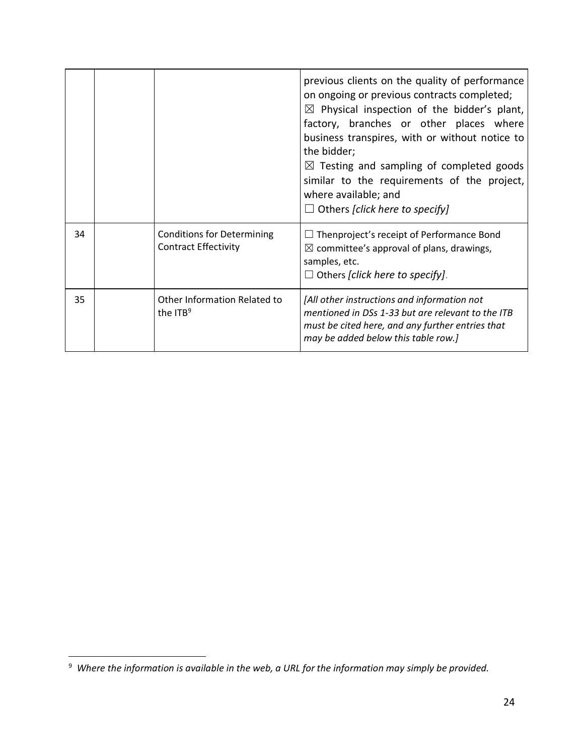|    |                                                                  | previous clients on the quality of performance<br>on ongoing or previous contracts completed;<br>$\boxtimes$ Physical inspection of the bidder's plant,<br>factory, branches or other places where<br>business transpires, with or without notice to<br>the bidder;<br>$\boxtimes$ Testing and sampling of completed goods<br>similar to the requirements of the project,<br>where available; and<br>$\Box$ Others [click here to specify] |
|----|------------------------------------------------------------------|--------------------------------------------------------------------------------------------------------------------------------------------------------------------------------------------------------------------------------------------------------------------------------------------------------------------------------------------------------------------------------------------------------------------------------------------|
| 34 | <b>Conditions for Determining</b><br><b>Contract Effectivity</b> | $\Box$ Thenproject's receipt of Performance Bond<br>$\boxtimes$ committee's approval of plans, drawings,<br>samples, etc.<br>$\Box$ Others <i>[click here to specify]</i> .                                                                                                                                                                                                                                                                |
| 35 | Other Information Related to<br>the $ITB9$                       | [All other instructions and information not<br>mentioned in DSs 1-33 but are relevant to the ITB<br>must be cited here, and any further entries that<br>may be added below this table row.]                                                                                                                                                                                                                                                |

<sup>9</sup> *Where the information is available in the web, a URL for the information may simply be provided.*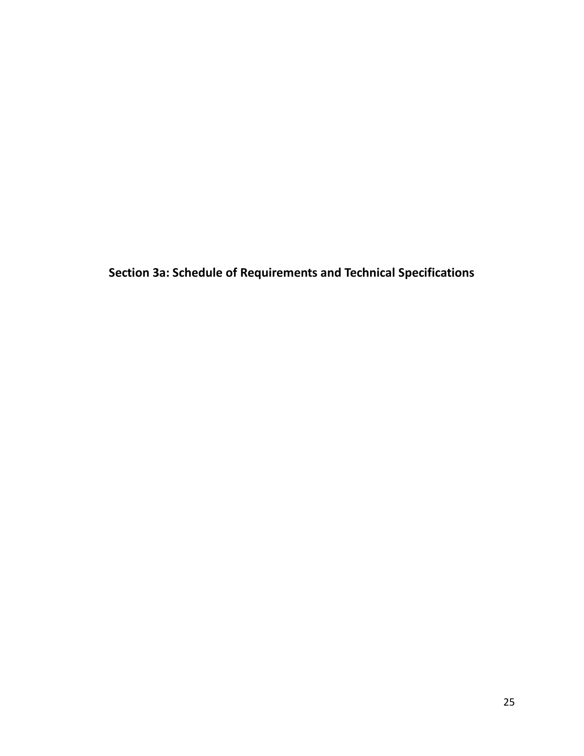**Section 3a: Schedule of Requirements and Technical Specifications**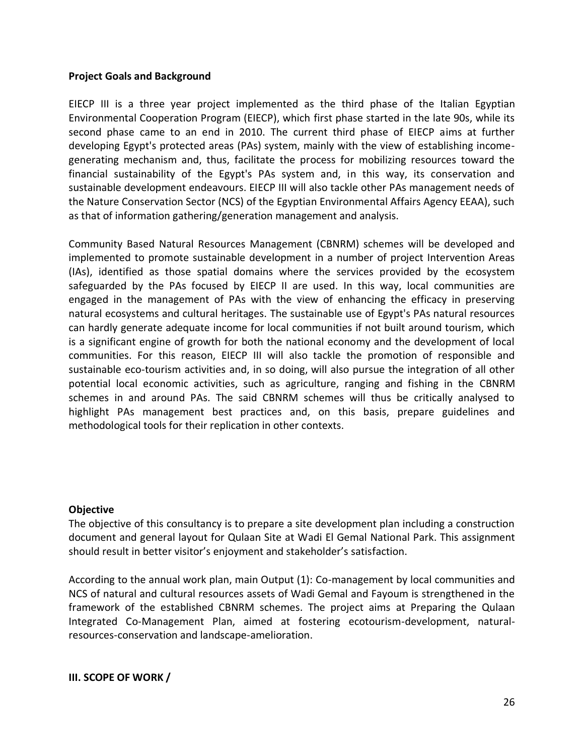#### **Project Goals and Background**

EIECP III is a three year project implemented as the third phase of the Italian Egyptian Environmental Cooperation Program (EIECP), which first phase started in the late 90s, while its second phase came to an end in 2010. The current third phase of EIECP aims at further developing Egypt's protected areas (PAs) system, mainly with the view of establishing incomegenerating mechanism and, thus, facilitate the process for mobilizing resources toward the financial sustainability of the Egypt's PAs system and, in this way, its conservation and sustainable development endeavours. EIECP III will also tackle other PAs management needs of the Nature Conservation Sector (NCS) of the Egyptian Environmental Affairs Agency EEAA), such as that of information gathering/generation management and analysis.

Community Based Natural Resources Management (CBNRM) schemes will be developed and implemented to promote sustainable development in a number of project Intervention Areas (IAs), identified as those spatial domains where the services provided by the ecosystem safeguarded by the PAs focused by EIECP II are used. In this way, local communities are engaged in the management of PAs with the view of enhancing the efficacy in preserving natural ecosystems and cultural heritages. The sustainable use of Egypt's PAs natural resources can hardly generate adequate income for local communities if not built around tourism, which is a significant engine of growth for both the national economy and the development of local communities. For this reason, EIECP III will also tackle the promotion of responsible and sustainable eco-tourism activities and, in so doing, will also pursue the integration of all other potential local economic activities, such as agriculture, ranging and fishing in the CBNRM schemes in and around PAs. The said CBNRM schemes will thus be critically analysed to highlight PAs management best practices and, on this basis, prepare guidelines and methodological tools for their replication in other contexts.

#### **Objective**

The objective of this consultancy is to prepare a site development plan including a construction document and general layout for Qulaan Site at Wadi El Gemal National Park. This assignment should result in better visitor's enjoyment and stakeholder's satisfaction.

According to the annual work plan, main Output (1): Co-management by local communities and NCS of natural and cultural resources assets of Wadi Gemal and Fayoum is strengthened in the framework of the established CBNRM schemes. The project aims at Preparing the Qulaan Integrated Co-Management Plan, aimed at fostering ecotourism-development, naturalresources-conservation and landscape-amelioration.

#### **III. SCOPE OF WORK /**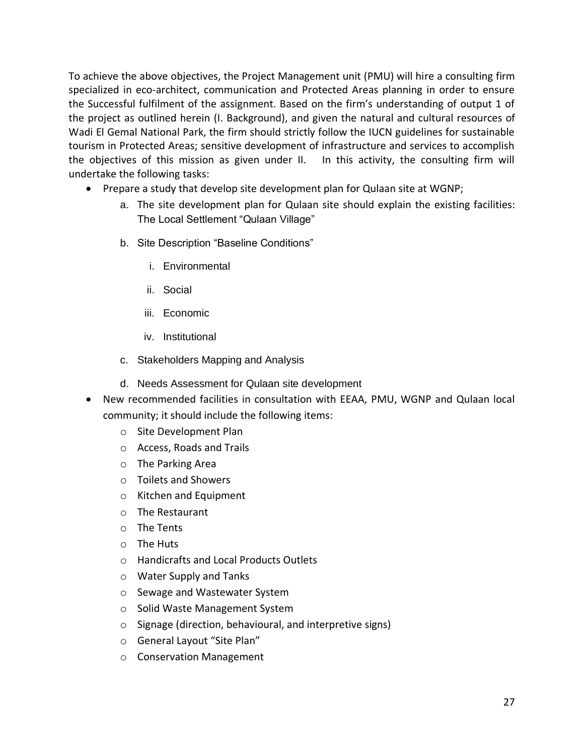To achieve the above objectives, the Project Management unit (PMU) will hire a consulting firm specialized in eco-architect, communication and Protected Areas planning in order to ensure the Successful fulfilment of the assignment. Based on the firm's understanding of output 1 of the project as outlined herein (I. Background), and given the natural and cultural resources of Wadi El Gemal National Park, the firm should strictly follow the IUCN guidelines for sustainable tourism in Protected Areas; sensitive development of infrastructure and services to accomplish the objectives of this mission as given under II. In this activity, the consulting firm will undertake the following tasks:

- Prepare a study that develop site development plan for Qulaan site at WGNP;
	- a. The site development plan for Qulaan site should explain the existing facilities: The Local Settlement "Qulaan Village"
	- b. Site Description "Baseline Conditions"
		- i. Environmental
		- ii. Social
		- iii. Economic
		- iv. Institutional
	- c. Stakeholders Mapping and Analysis
	- d. Needs Assessment for Qulaan site development
- New recommended facilities in consultation with EEAA, PMU, WGNP and Qulaan local community; it should include the following items:
	- o Site Development Plan
	- o Access, Roads and Trails
	- o The Parking Area
	- o Toilets and Showers
	- o Kitchen and Equipment
	- o The Restaurant
	- o The Tents
	- o The Huts
	- o Handicrafts and Local Products Outlets
	- o Water Supply and Tanks
	- o Sewage and Wastewater System
	- o Solid Waste Management System
	- o Signage (direction, behavioural, and interpretive signs)
	- o General Layout "Site Plan"
	- o Conservation Management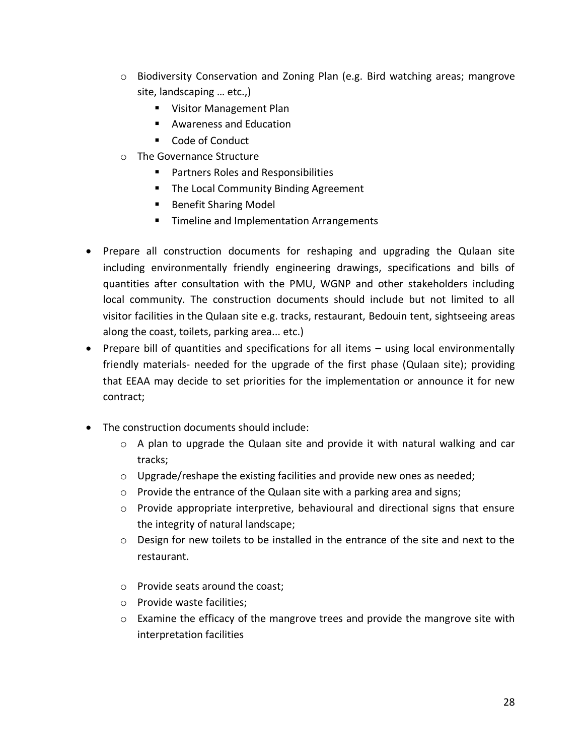- $\circ$  Biodiversity Conservation and Zoning Plan (e.g. Bird watching areas; mangrove site, landscaping … etc.,)
	- Visitor Management Plan
	- Awareness and Education
	- Code of Conduct
- o The Governance Structure
	- Partners Roles and Responsibilities
	- The Local Community Binding Agreement
	- Benefit Sharing Model
	- Timeline and Implementation Arrangements
- Prepare all construction documents for reshaping and upgrading the Qulaan site including environmentally friendly engineering drawings, specifications and bills of quantities after consultation with the PMU, WGNP and other stakeholders including local community. The construction documents should include but not limited to all visitor facilities in the Qulaan site e.g. tracks, restaurant, Bedouin tent, sightseeing areas along the coast, toilets, parking area... etc.)
- Prepare bill of quantities and specifications for all items using local environmentally friendly materials- needed for the upgrade of the first phase (Qulaan site); providing that EEAA may decide to set priorities for the implementation or announce it for new contract;
- The construction documents should include:
	- $\circ$  A plan to upgrade the Qulaan site and provide it with natural walking and car tracks;
	- o Upgrade/reshape the existing facilities and provide new ones as needed;
	- o Provide the entrance of the Qulaan site with a parking area and signs;
	- o Provide appropriate interpretive, behavioural and directional signs that ensure the integrity of natural landscape;
	- $\circ$  Design for new toilets to be installed in the entrance of the site and next to the restaurant.
	- o Provide seats around the coast;
	- o Provide waste facilities;
	- $\circ$  Examine the efficacy of the mangrove trees and provide the mangrove site with interpretation facilities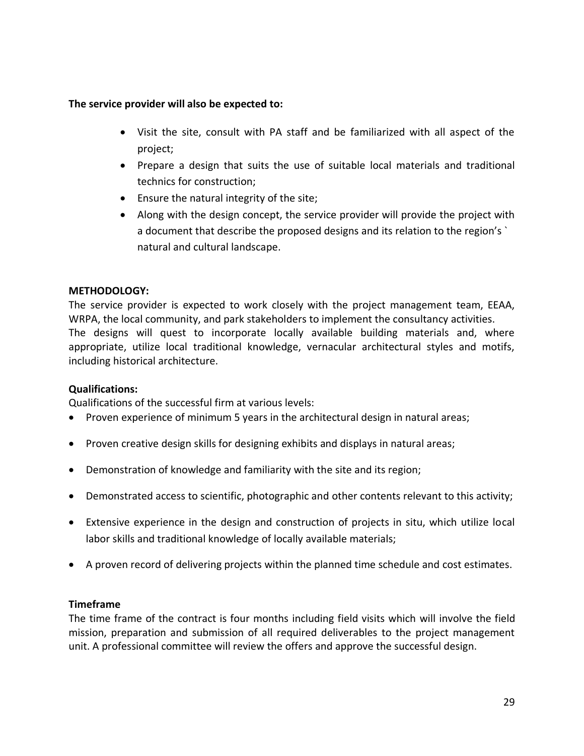#### **The service provider will also be expected to:**

- Visit the site, consult with PA staff and be familiarized with all aspect of the project;
- Prepare a design that suits the use of suitable local materials and traditional technics for construction;
- Ensure the natural integrity of the site;
- Along with the design concept, the service provider will provide the project with a document that describe the proposed designs and its relation to the region's ` natural and cultural landscape.

#### **METHODOLOGY:**

The service provider is expected to work closely with the project management team, EEAA, WRPA, the local community, and park stakeholders to implement the consultancy activities. The designs will quest to incorporate locally available building materials and, where appropriate, utilize local traditional knowledge, vernacular architectural styles and motifs, including historical architecture.

#### **Qualifications:**

Qualifications of the successful firm at various levels:

- Proven experience of minimum 5 years in the architectural design in natural areas;
- Proven creative design skills for designing exhibits and displays in natural areas;
- Demonstration of knowledge and familiarity with the site and its region;
- Demonstrated access to scientific, photographic and other contents relevant to this activity;
- Extensive experience in the design and construction of projects in situ, which utilize local labor skills and traditional knowledge of locally available materials;
- A proven record of delivering projects within the planned time schedule and cost estimates.

#### **Timeframe**

The time frame of the contract is four months including field visits which will involve the field mission, preparation and submission of all required deliverables to the project management unit. A professional committee will review the offers and approve the successful design.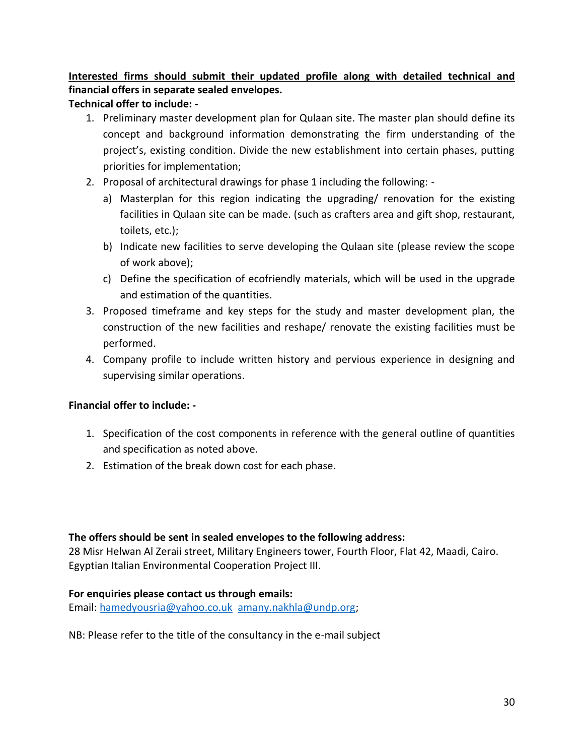### **Interested firms should submit their updated profile along with detailed technical and financial offers in separate sealed envelopes.**

#### **Technical offer to include: -**

- 1. Preliminary master development plan for Qulaan site. The master plan should define its concept and background information demonstrating the firm understanding of the project's, existing condition. Divide the new establishment into certain phases, putting priorities for implementation;
- 2. Proposal of architectural drawings for phase 1 including the following:
	- a) Masterplan for this region indicating the upgrading/ renovation for the existing facilities in Qulaan site can be made. (such as crafters area and gift shop, restaurant, toilets, etc.);
	- b) Indicate new facilities to serve developing the Qulaan site (please review the scope of work above);
	- c) Define the specification of ecofriendly materials, which will be used in the upgrade and estimation of the quantities.
- 3. Proposed timeframe and key steps for the study and master development plan, the construction of the new facilities and reshape/ renovate the existing facilities must be performed.
- 4. Company profile to include written history and pervious experience in designing and supervising similar operations.

#### **Financial offer to include: -**

- 1. Specification of the cost components in reference with the general outline of quantities and specification as noted above.
- 2. Estimation of the break down cost for each phase.

#### **The offers should be sent in sealed envelopes to the following address:**

28 Misr Helwan Al Zeraii street, Military Engineers tower, Fourth Floor, Flat 42, Maadi, Cairo. Egyptian Italian Environmental Cooperation Project III.

#### **For enquiries please contact us through emails:**

Email: [hamedyousria@yahoo.co.uk](mailto:hamedyousria@yahoo.co.uk) [amany.nakhla@undp.org;](mailto:amany.nakhla@undp.org)

NB: Please refer to the title of the consultancy in the e-mail subject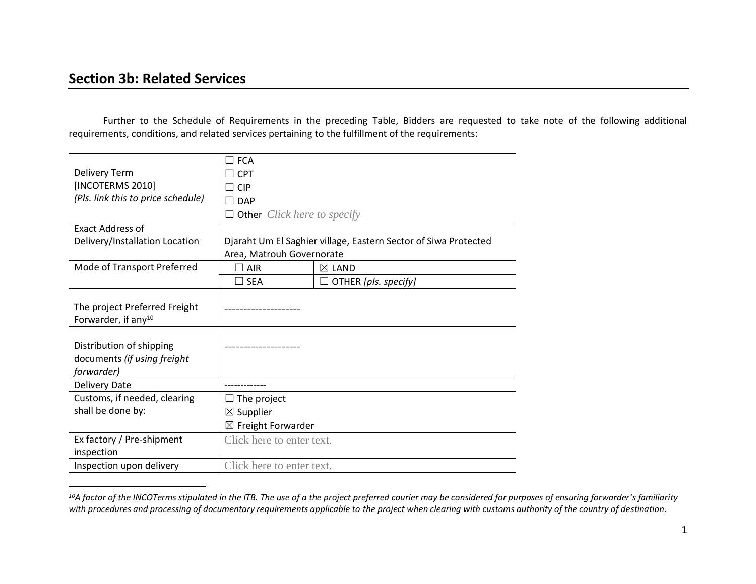### **Section 3b: Related Services**

Further to the Schedule of Requirements in the preceding Table, Bidders are requested to take note of the following additional requirements, conditions, and related services pertaining to the fulfillment of the requirements:

|                                           | $\Box$ FCA                                |                                                                 |  |
|-------------------------------------------|-------------------------------------------|-----------------------------------------------------------------|--|
| <b>Delivery Term</b>                      | <b>CPT</b>                                |                                                                 |  |
| [INCOTERMS 2010]                          | □ CIP                                     |                                                                 |  |
| (Pls. link this to price schedule)        | <b>DAP</b>                                |                                                                 |  |
|                                           |                                           |                                                                 |  |
|                                           | <b>Other</b> <i>Click here to specify</i> |                                                                 |  |
| <b>Exact Address of</b>                   |                                           |                                                                 |  |
| Delivery/Installation Location            |                                           | Djaraht Um El Saghier village, Eastern Sector of Siwa Protected |  |
|                                           | Area, Matrouh Governorate                 |                                                                 |  |
| Mode of Transport Preferred               | <b>AIR</b>                                | $\boxtimes$ LAND                                                |  |
|                                           | <b>SEA</b><br>$\Box$                      | OTHER [pls. specify]                                            |  |
|                                           |                                           |                                                                 |  |
| The project Preferred Freight             |                                           |                                                                 |  |
| Forwarder, if any <sup>10</sup>           |                                           |                                                                 |  |
|                                           |                                           |                                                                 |  |
|                                           |                                           |                                                                 |  |
| Distribution of shipping                  |                                           |                                                                 |  |
| documents (if using freight               |                                           |                                                                 |  |
| forwarder)                                |                                           |                                                                 |  |
| Delivery Date                             |                                           |                                                                 |  |
| Customs, if needed, clearing              | The project                               |                                                                 |  |
| shall be done by:<br>$\boxtimes$ Supplier |                                           |                                                                 |  |
|                                           | $\boxtimes$ Freight Forwarder             |                                                                 |  |
| Ex factory / Pre-shipment                 | Click here to enter text.                 |                                                                 |  |
| inspection                                |                                           |                                                                 |  |
| Inspection upon delivery                  | Click here to enter text.                 |                                                                 |  |
|                                           |                                           |                                                                 |  |

*<sup>10</sup>A factor of the INCOTerms stipulated in the ITB. The use of a the project preferred courier may be considered for purposes of ensuring forwarder's familiarity with procedures and processing of documentary requirements applicable to the project when clearing with customs authority of the country of destination.*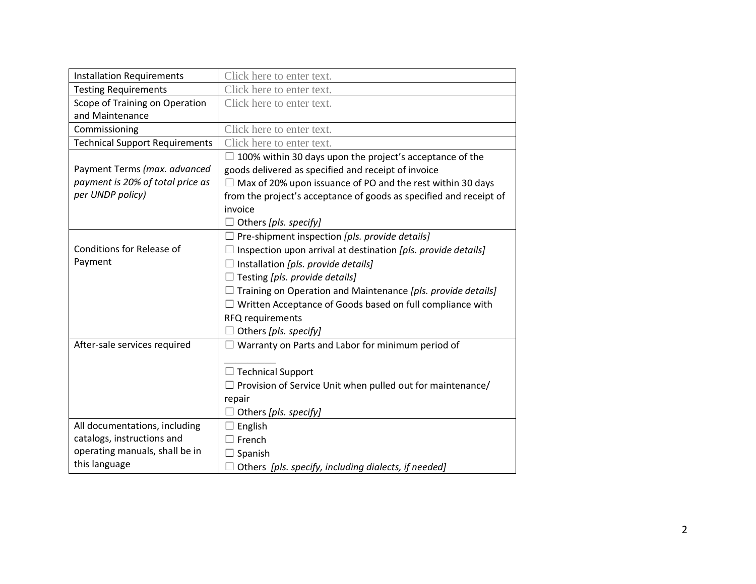| <b>Installation Requirements</b>      | Click here to enter text.                                            |
|---------------------------------------|----------------------------------------------------------------------|
| <b>Testing Requirements</b>           | Click here to enter text.                                            |
| Scope of Training on Operation        | Click here to enter text.                                            |
| and Maintenance                       |                                                                      |
| Commissioning                         | Click here to enter text.                                            |
| <b>Technical Support Requirements</b> | Click here to enter text.                                            |
|                                       | $\Box$ 100% within 30 days upon the project's acceptance of the      |
| Payment Terms (max. advanced          | goods delivered as specified and receipt of invoice                  |
| payment is 20% of total price as      | $\Box$ Max of 20% upon issuance of PO and the rest within 30 days    |
| per UNDP policy)                      | from the project's acceptance of goods as specified and receipt of   |
|                                       | invoice                                                              |
|                                       | $\Box$ Others [pls. specify]                                         |
|                                       | $\Box$ Pre-shipment inspection [pls. provide details]                |
| <b>Conditions for Release of</b>      | $\Box$ Inspection upon arrival at destination [pls. provide details] |
| Payment                               | $\Box$ Installation [pls. provide details]                           |
|                                       | $\Box$ Testing [pls. provide details]                                |
|                                       | $\Box$ Training on Operation and Maintenance [pls. provide details]  |
|                                       | $\Box$ Written Acceptance of Goods based on full compliance with     |
|                                       | RFQ requirements                                                     |
|                                       | $\Box$ Others [pls. specify]                                         |
| After-sale services required          | $\exists$ Warranty on Parts and Labor for minimum period of          |
|                                       |                                                                      |
|                                       | $\Box$ Technical Support                                             |
|                                       | $\Box$ Provision of Service Unit when pulled out for maintenance/    |
|                                       | repair                                                               |
|                                       | Others [pls. specify]                                                |
| All documentations, including         | English                                                              |
| catalogs, instructions and            | $\Box$ French                                                        |
| operating manuals, shall be in        | $\Box$ Spanish                                                       |
| this language                         | Others [pls. specify, including dialects, if needed]                 |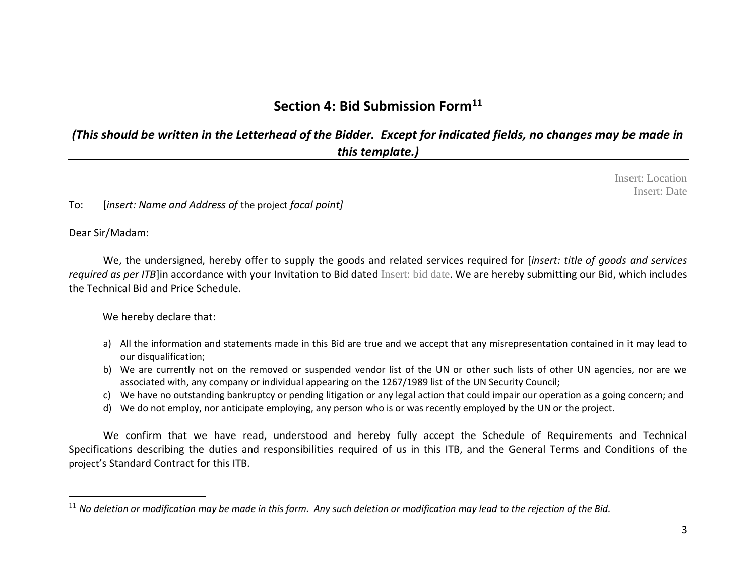### **Section 4: Bid Submission Form<sup>11</sup>**

### *(This should be written in the Letterhead of the Bidder. Except for indicated fields, no changes may be made in this template.)*

Insert: Location Insert: Date

To: [*insert: Name and Address of* the project *focal point]*

Dear Sir/Madam:

We, the undersigned, hereby offer to supply the goods and related services required for [*insert: title of goods and services required as per ITB*]in accordance with your Invitation to Bid dated Insert: bid date. We are hereby submitting our Bid, which includes the Technical Bid and Price Schedule.

We hereby declare that:

- a) All the information and statements made in this Bid are true and we accept that any misrepresentation contained in it may lead to our disqualification;
- b) We are currently not on the removed or suspended vendor list of the UN or other such lists of other UN agencies, nor are we associated with, any company or individual appearing on the 1267/1989 list of the UN Security Council;
- c) We have no outstanding bankruptcy or pending litigation or any legal action that could impair our operation as a going concern; and
- d) We do not employ, nor anticipate employing, any person who is or was recently employed by the UN or the project.

We confirm that we have read, understood and hereby fully accept the Schedule of Requirements and Technical Specifications describing the duties and responsibilities required of us in this ITB, and the General Terms and Conditions of the project's Standard Contract for this ITB.

<sup>11</sup> *No deletion or modification may be made in this form. Any such deletion or modification may lead to the rejection of the Bid.*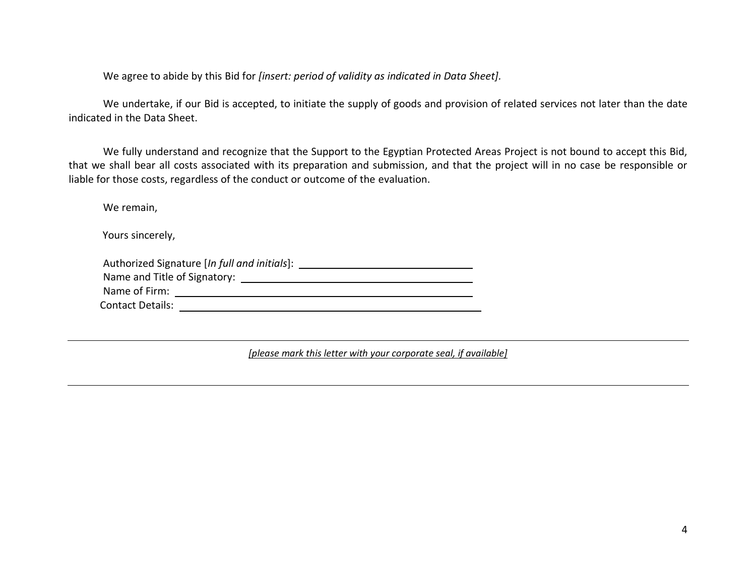We agree to abide by this Bid for *[insert: period of validity as indicated in Data Sheet].* 

We undertake, if our Bid is accepted, to initiate the supply of goods and provision of related services not later than the date indicated in the Data Sheet.

We fully understand and recognize that the Support to the Egyptian Protected Areas Project is not bound to accept this Bid, that we shall bear all costs associated with its preparation and submission, and that the project will in no case be responsible or liable for those costs, regardless of the conduct or outcome of the evaluation.

We remain,

Yours sincerely,

|                              | Authorized Signature [In full and initials]: |
|------------------------------|----------------------------------------------|
| Name and Title of Signatory: |                                              |
| Name of Firm:                |                                              |
| <b>Contact Details:</b>      |                                              |

*[please mark this letter with your corporate seal, if available]*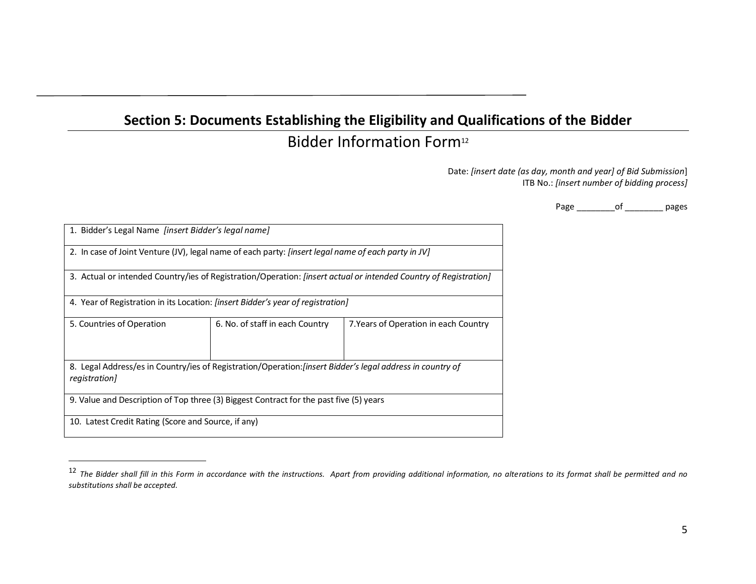### **Section 5: Documents Establishing the Eligibility and Qualifications of the Bidder** Bidder Information Form<sup>12</sup>

Date: *[insert date (as day, month and year] of Bid Submission*] ITB No.: *[insert number of bidding process]*

Page of pages

| 1. Bidder's Legal Name [insert Bidder's legal name]                                                                         |                                                                                        |                                       |  |  |  |  |  |  |
|-----------------------------------------------------------------------------------------------------------------------------|----------------------------------------------------------------------------------------|---------------------------------------|--|--|--|--|--|--|
| 2. In case of Joint Venture (JV), legal name of each party: <i>[insert legal name of each party in JV]</i>                  |                                                                                        |                                       |  |  |  |  |  |  |
| 3. Actual or intended Country/ies of Registration/Operation: [insert actual or intended Country of Registration]            |                                                                                        |                                       |  |  |  |  |  |  |
|                                                                                                                             | 4. Year of Registration in its Location: <i>[insert Bidder's year of registration]</i> |                                       |  |  |  |  |  |  |
| 5. Countries of Operation                                                                                                   | 6. No. of staff in each Country                                                        | 7. Years of Operation in each Country |  |  |  |  |  |  |
| 8. Legal Address/es in Country/ies of Registration/Operation: [insert Bidder's legal address in country of<br>registration] |                                                                                        |                                       |  |  |  |  |  |  |
| 9. Value and Description of Top three (3) Biggest Contract for the past five (5) years                                      |                                                                                        |                                       |  |  |  |  |  |  |
|                                                                                                                             | 10. Latest Credit Rating (Score and Source, if any)                                    |                                       |  |  |  |  |  |  |

<sup>&</sup>lt;sup>12</sup> The Bidder shall fill in this Form in accordance with the instructions. Apart from providing additional information, no alterations to its format shall be permitted and no *substitutions shall be accepted.*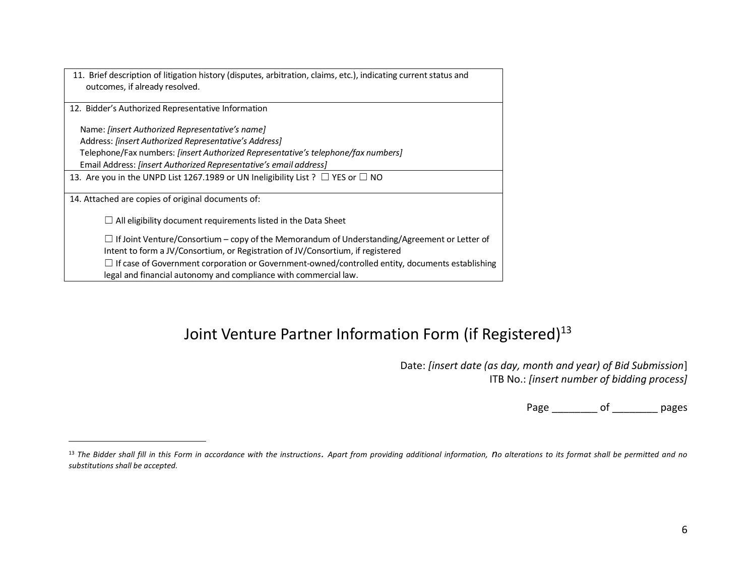| 11. Brief description of litigation history (disputes, arbitration, claims, etc.), indicating current status and<br>outcomes, if already resolved.                         |
|----------------------------------------------------------------------------------------------------------------------------------------------------------------------------|
| 12. Bidder's Authorized Representative Information                                                                                                                         |
| Name: [insert Authorized Representative's name]                                                                                                                            |
| Address: [insert Authorized Representative's Address]                                                                                                                      |
| Telephone/Fax numbers: [insert Authorized Representative's telephone/fax numbers]                                                                                          |
| Email Address: [insert Authorized Representative's email address]                                                                                                          |
| 13. Are you in the UNPD List 1267.1989 or UN Ineligibility List ? $\Box$ YES or $\Box$ NO                                                                                  |
| 14. Attached are copies of original documents of:                                                                                                                          |
| $\Box$ All eligibility document requirements listed in the Data Sheet                                                                                                      |
| $\Box$ If Joint Venture/Consortium – copy of the Memorandum of Understanding/Agreement or Letter of                                                                        |
| Intent to form a JV/Consortium, or Registration of JV/Consortium, if registered                                                                                            |
| $\Box$ If case of Government corporation or Government-owned/controlled entity, documents establishing<br>legal and financial autonomy and compliance with commercial law. |

## Joint Venture Partner Information Form (if Registered)<sup>13</sup>

Date: *[insert date (as day, month and year) of Bid Submission*] ITB No.: *[insert number of bidding process]*

Page \_\_\_\_\_\_\_\_\_\_\_ of \_\_\_\_\_\_\_\_\_\_ pages

<sup>13</sup> *The Bidder shall fill in this Form in accordance with the instructions. Apart from providing additional information, no alterations to its format shall be permitted and no substitutions shall be accepted.*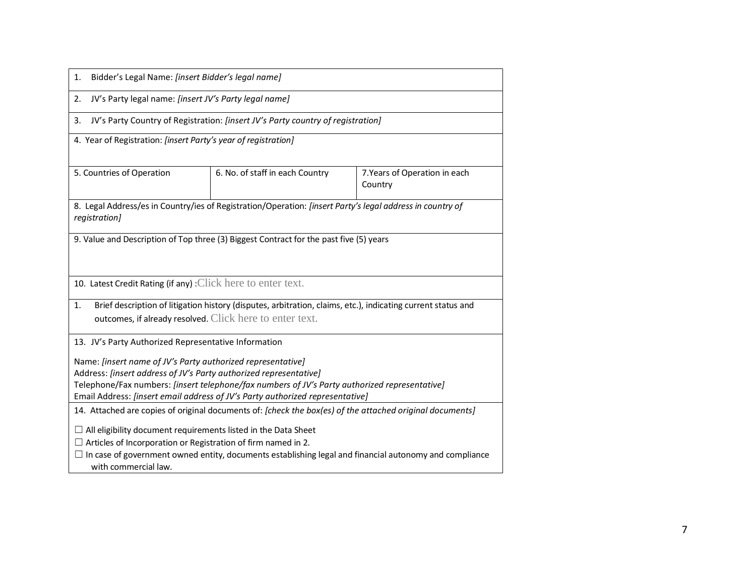| Bidder's Legal Name: [insert Bidder's legal name]<br>1.                                                                                                                                   |                                                                                                               |                               |  |  |  |  |  |  |
|-------------------------------------------------------------------------------------------------------------------------------------------------------------------------------------------|---------------------------------------------------------------------------------------------------------------|-------------------------------|--|--|--|--|--|--|
| JV's Party legal name: [insert JV's Party legal name]<br>2.                                                                                                                               |                                                                                                               |                               |  |  |  |  |  |  |
| JV's Party Country of Registration: [insert JV's Party country of registration]<br>3.                                                                                                     |                                                                                                               |                               |  |  |  |  |  |  |
| 4. Year of Registration: [insert Party's year of registration]                                                                                                                            |                                                                                                               |                               |  |  |  |  |  |  |
| 5. Countries of Operation                                                                                                                                                                 | 6. No. of staff in each Country                                                                               | 7. Years of Operation in each |  |  |  |  |  |  |
|                                                                                                                                                                                           |                                                                                                               | Country                       |  |  |  |  |  |  |
| registration]                                                                                                                                                                             | 8. Legal Address/es in Country/ies of Registration/Operation: [insert Party's legal address in country of     |                               |  |  |  |  |  |  |
|                                                                                                                                                                                           | 9. Value and Description of Top three (3) Biggest Contract for the past five (5) years                        |                               |  |  |  |  |  |  |
|                                                                                                                                                                                           |                                                                                                               |                               |  |  |  |  |  |  |
| 10. Latest Credit Rating (if any) : Click here to enter text.                                                                                                                             |                                                                                                               |                               |  |  |  |  |  |  |
| 1.                                                                                                                                                                                        | Brief description of litigation history (disputes, arbitration, claims, etc.), indicating current status and  |                               |  |  |  |  |  |  |
| outcomes, if already resolved. Click here to enter text.                                                                                                                                  |                                                                                                               |                               |  |  |  |  |  |  |
| 13. JV's Party Authorized Representative Information                                                                                                                                      |                                                                                                               |                               |  |  |  |  |  |  |
| Name: [insert name of JV's Party authorized representative]                                                                                                                               |                                                                                                               |                               |  |  |  |  |  |  |
| Address: [insert address of JV's Party authorized representative]                                                                                                                         |                                                                                                               |                               |  |  |  |  |  |  |
|                                                                                                                                                                                           | Telephone/Fax numbers: [insert telephone/fax numbers of JV's Party authorized representative]                 |                               |  |  |  |  |  |  |
| Email Address: [insert email address of JV's Party authorized representative]<br>14. Attached are copies of original documents of: [check the box(es) of the attached original documents] |                                                                                                               |                               |  |  |  |  |  |  |
|                                                                                                                                                                                           |                                                                                                               |                               |  |  |  |  |  |  |
| $\Box$ All eligibility document requirements listed in the Data Sheet<br>$\Box$ Articles of Incorporation or Registration of firm named in 2.                                             |                                                                                                               |                               |  |  |  |  |  |  |
|                                                                                                                                                                                           | $\Box$ In case of government owned entity, documents establishing legal and financial autonomy and compliance |                               |  |  |  |  |  |  |
| with commercial law.                                                                                                                                                                      |                                                                                                               |                               |  |  |  |  |  |  |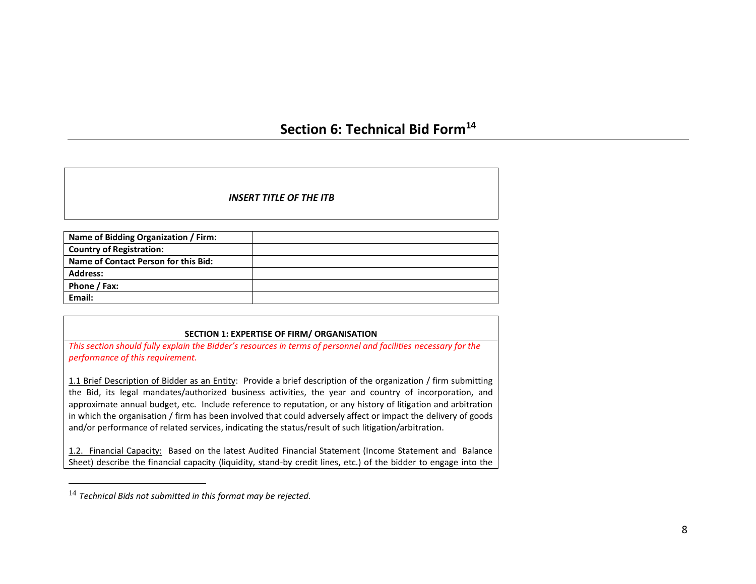### **Section 6: Technical Bid Form<sup>14</sup>**

#### *INSERT TITLE OF THE ITB*

| Name of Bidding Organization / Firm: |  |
|--------------------------------------|--|
| <b>Country of Registration:</b>      |  |
| Name of Contact Person for this Bid: |  |
| <b>Address:</b>                      |  |
| Phone / Fax:                         |  |
| Email:                               |  |
|                                      |  |

#### **SECTION 1: EXPERTISE OF FIRM/ ORGANISATION**

*This section should fully explain the Bidder's resources in terms of personnel and facilities necessary for the performance of this requirement.*

1.1 Brief Description of Bidder as an Entity: Provide a brief description of the organization / firm submitting the Bid, its legal mandates/authorized business activities, the year and country of incorporation, and approximate annual budget, etc. Include reference to reputation, or any history of litigation and arbitration in which the organisation / firm has been involved that could adversely affect or impact the delivery of goods and/or performance of related services, indicating the status/result of such litigation/arbitration.

1.2. Financial Capacity:Based on the latest Audited Financial Statement (Income Statement and Balance Sheet) describe the financial capacity (liquidity, stand-by credit lines, etc.) of the bidder to engage into the

<sup>14</sup> *Technical Bids not submitted in this format may be rejected.*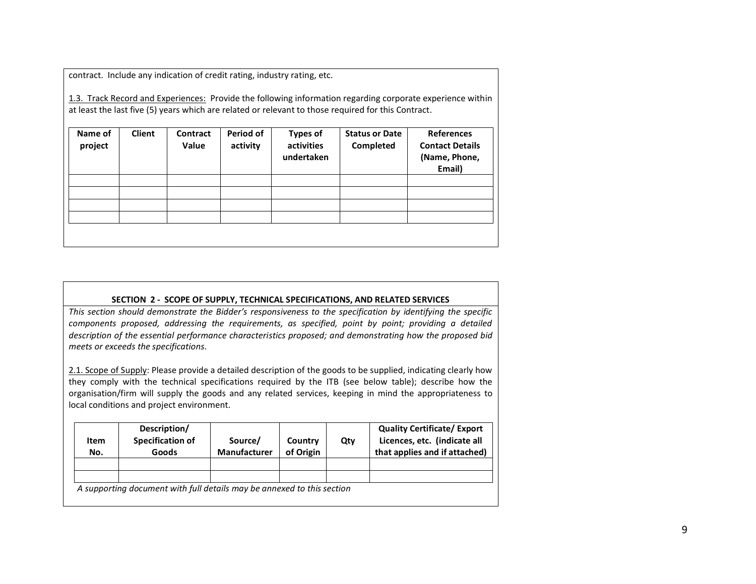contract. Include any indication of credit rating, industry rating, etc.

1.3. Track Record and Experiences: Provide the following information regarding corporate experience within at least the last five (5) years which are related or relevant to those required for this Contract.

| Name of<br>project | <b>Client</b> | Contract<br>Value | Period of<br>activity | <b>Types of</b><br>activities<br>undertaken | <b>Status or Date</b><br>Completed | <b>References</b><br><b>Contact Details</b><br>(Name, Phone,<br>Email) |
|--------------------|---------------|-------------------|-----------------------|---------------------------------------------|------------------------------------|------------------------------------------------------------------------|
|                    |               |                   |                       |                                             |                                    |                                                                        |
|                    |               |                   |                       |                                             |                                    |                                                                        |
|                    |               |                   |                       |                                             |                                    |                                                                        |
|                    |               |                   |                       |                                             |                                    |                                                                        |
|                    |               |                   |                       |                                             |                                    |                                                                        |
|                    |               |                   |                       |                                             |                                    |                                                                        |

#### **SECTION 2 - SCOPE OF SUPPLY, TECHNICAL SPECIFICATIONS, AND RELATED SERVICES**

*This section should demonstrate the Bidder's responsiveness to the specification by identifying the specific components proposed, addressing the requirements, as specified, point by point; providing a detailed description of the essential performance characteristics proposed; and demonstrating how the proposed bid meets or exceeds the specifications.*

2.1. Scope of Supply: Please provide a detailed description of the goods to be supplied, indicating clearly how they comply with the technical specifications required by the ITB (see below table); describe how the organisation/firm will supply the goods and any related services, keeping in mind the appropriateness to local conditions and project environment.

| Item<br>No. | Description/<br>Specification of<br>Goods                              | Source/<br><b>Manufacturer</b> | Country<br>of Origin | Qty | <b>Quality Certificate/ Export</b><br>Licences, etc. (indicate all<br>that applies and if attached) |
|-------------|------------------------------------------------------------------------|--------------------------------|----------------------|-----|-----------------------------------------------------------------------------------------------------|
|             |                                                                        |                                |                      |     |                                                                                                     |
|             | A supporting document with full details may be annexed to this section |                                |                      |     |                                                                                                     |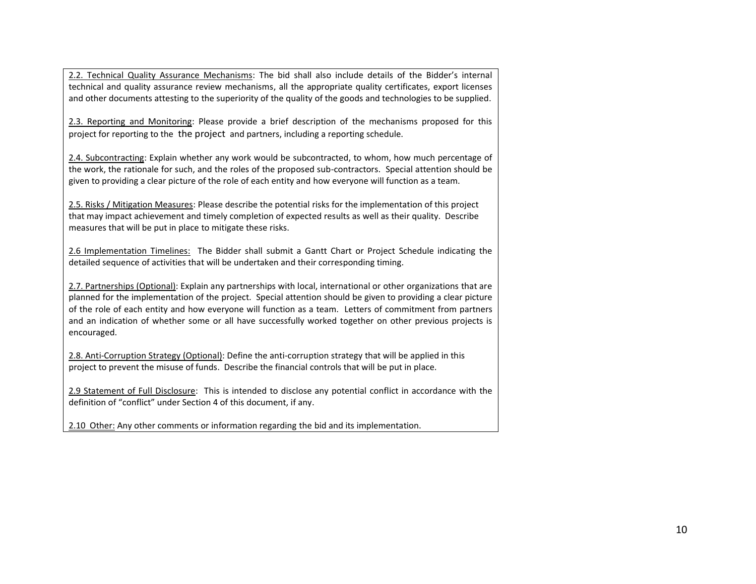2.2. Technical Quality Assurance Mechanisms: The bid shall also include details of the Bidder's internal technical and quality assurance review mechanisms, all the appropriate quality certificates, export licenses and other documents attesting to the superiority of the quality of the goods and technologies to be supplied.

2.3. Reporting and Monitoring: Please provide a brief description of the mechanisms proposed for this project for reporting to the the project and partners, including a reporting schedule.

2.4. Subcontracting: Explain whether any work would be subcontracted, to whom, how much percentage of the work, the rationale for such, and the roles of the proposed sub-contractors. Special attention should be given to providing a clear picture of the role of each entity and how everyone will function as a team.

2.5. Risks / Mitigation Measures: Please describe the potential risks for the implementation of this project that may impact achievement and timely completion of expected results as well as their quality. Describe measures that will be put in place to mitigate these risks.

2.6 Implementation Timelines: The Bidder shall submit a Gantt Chart or Project Schedule indicating the detailed sequence of activities that will be undertaken and their corresponding timing.

2.7. Partnerships (Optional): Explain any partnerships with local, international or other organizations that are planned for the implementation of the project. Special attention should be given to providing a clear picture of the role of each entity and how everyone will function as a team. Letters of commitment from partners and an indication of whether some or all have successfully worked together on other previous projects is encouraged.

2.8. Anti-Corruption Strategy (Optional): Define the anti-corruption strategy that will be applied in this project to prevent the misuse of funds. Describe the financial controls that will be put in place.

2.9 Statement of Full Disclosure: This is intended to disclose any potential conflict in accordance with the definition of "conflict" under Section 4 of this document, if any.

2.10 Other: Any other comments or information regarding the bid and its implementation.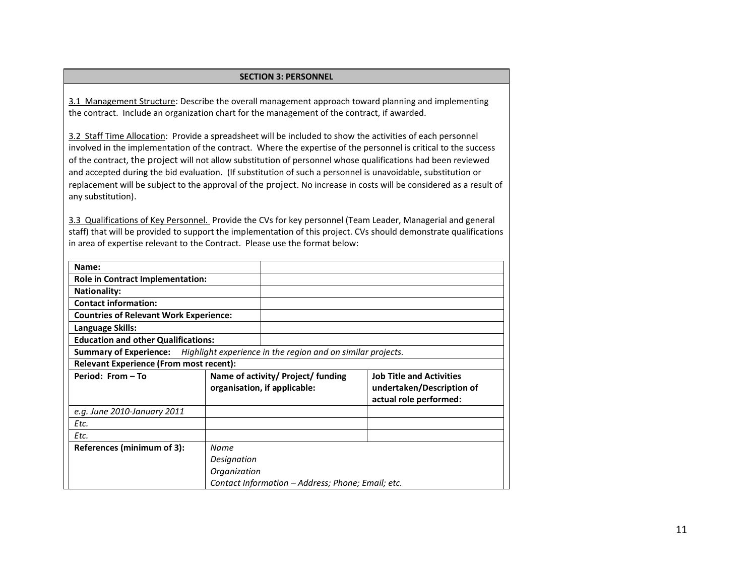#### **SECTION 3: PERSONNEL**

3.1 Management Structure: Describe the overall management approach toward planning and implementing the contract. Include an organization chart for the management of the contract, if awarded.

3.2 Staff Time Allocation: Provide a spreadsheet will be included to show the activities of each personnel involved in the implementation of the contract. Where the expertise of the personnel is critical to the success of the contract, the project will not allow substitution of personnel whose qualifications had been reviewed and accepted during the bid evaluation. (If substitution of such a personnel is unavoidable, substitution or replacement will be subject to the approval of the project. No increase in costs will be considered as a result of any substitution).

3.3 Qualifications of Key Personnel. Provide the CVs for key personnel (Team Leader, Managerial and general staff) that will be provided to support the implementation of this project. CVs should demonstrate qualifications in area of expertise relevant to the Contract. Please use the format below:

| Name:                                                                                     |                                                                    |                                                   |                                                                                        |  |  |
|-------------------------------------------------------------------------------------------|--------------------------------------------------------------------|---------------------------------------------------|----------------------------------------------------------------------------------------|--|--|
| Role in Contract Implementation:                                                          |                                                                    |                                                   |                                                                                        |  |  |
| <b>Nationality:</b>                                                                       |                                                                    |                                                   |                                                                                        |  |  |
| <b>Contact information:</b>                                                               |                                                                    |                                                   |                                                                                        |  |  |
| <b>Countries of Relevant Work Experience:</b>                                             |                                                                    |                                                   |                                                                                        |  |  |
| Language Skills:                                                                          |                                                                    |                                                   |                                                                                        |  |  |
| <b>Education and other Qualifications:</b>                                                |                                                                    |                                                   |                                                                                        |  |  |
| <b>Summary of Experience:</b> Highlight experience in the region and on similar projects. |                                                                    |                                                   |                                                                                        |  |  |
| <b>Relevant Experience (From most recent):</b>                                            |                                                                    |                                                   |                                                                                        |  |  |
| Period: From - To                                                                         | Name of activity/ Project/ funding<br>organisation, if applicable: |                                                   | <b>Job Title and Activities</b><br>undertaken/Description of<br>actual role performed: |  |  |
| e.g. June 2010-January 2011                                                               |                                                                    |                                                   |                                                                                        |  |  |
| Etc.                                                                                      |                                                                    |                                                   |                                                                                        |  |  |
| Etc.                                                                                      |                                                                    |                                                   |                                                                                        |  |  |
| References (minimum of 3):                                                                | Name                                                               |                                                   |                                                                                        |  |  |
|                                                                                           | Designation                                                        |                                                   |                                                                                        |  |  |
|                                                                                           | Organization                                                       |                                                   |                                                                                        |  |  |
|                                                                                           |                                                                    | Contact Information - Address; Phone; Email; etc. |                                                                                        |  |  |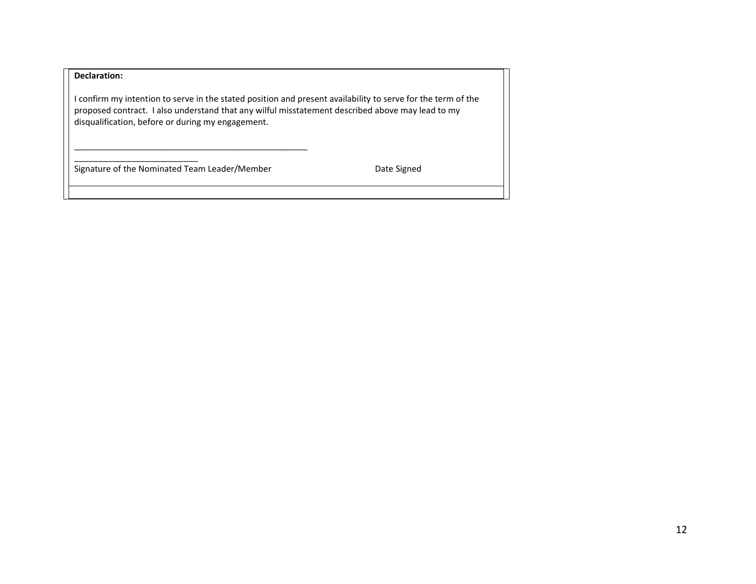#### **Declaration:**

I confirm my intention to serve in the stated position and present availability to serve for the term of the proposed contract. I also understand that any wilful misstatement described above may lead to my disqualification, before or during my engagement.

Signature of the Nominated Team Leader/Member **Date Signed** Date Signed

\_\_\_\_\_\_\_\_\_\_\_\_\_\_\_\_\_\_\_\_\_\_\_\_\_\_

\_\_\_\_\_\_\_\_\_\_\_\_\_\_\_\_\_\_\_\_\_\_\_\_\_\_\_\_\_\_\_\_\_\_\_\_\_\_\_\_\_\_\_\_\_\_\_\_\_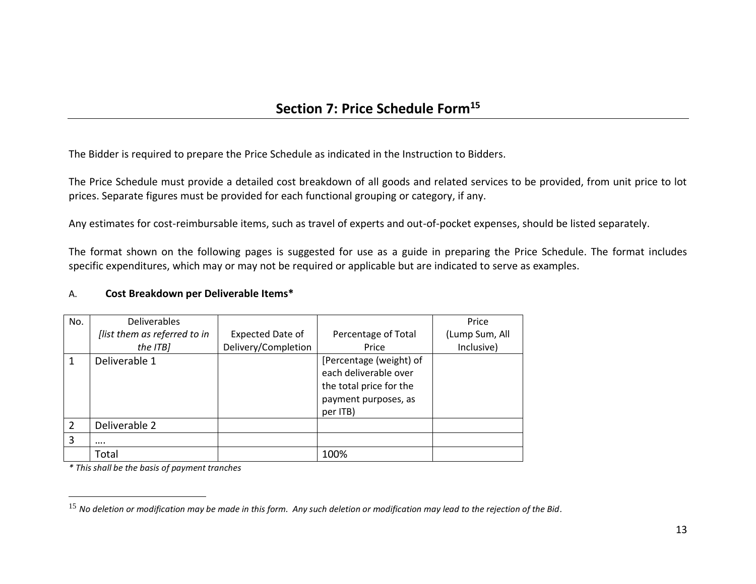The Bidder is required to prepare the Price Schedule as indicated in the Instruction to Bidders.

The Price Schedule must provide a detailed cost breakdown of all goods and related services to be provided, from unit price to lot prices. Separate figures must be provided for each functional grouping or category, if any.

Any estimates for cost-reimbursable items, such as travel of experts and out-of-pocket expenses, should be listed separately.

The format shown on the following pages is suggested for use as a guide in preparing the Price Schedule. The format includes specific expenditures, which may or may not be required or applicable but are indicated to serve as examples.

#### A. **Cost Breakdown per Deliverable Items\***

| No.            | <b>Deliverables</b>          |                     |                                                                                                                 | Price          |
|----------------|------------------------------|---------------------|-----------------------------------------------------------------------------------------------------------------|----------------|
|                | [list them as referred to in | Expected Date of    | Percentage of Total                                                                                             | (Lump Sum, All |
|                | the ITB]                     | Delivery/Completion | Price                                                                                                           | Inclusive)     |
| 1              | Deliverable 1                |                     | [Percentage (weight) of<br>each deliverable over<br>the total price for the<br>payment purposes, as<br>per ITB) |                |
| $\overline{2}$ | Deliverable 2                |                     |                                                                                                                 |                |
| 3              |                              |                     |                                                                                                                 |                |
|                | Total                        |                     | 100%                                                                                                            |                |

*\* This shall be the basis of payment tranches* 

<sup>15</sup> *No deletion or modification may be made in this form. Any such deletion or modification may lead to the rejection of the Bid.*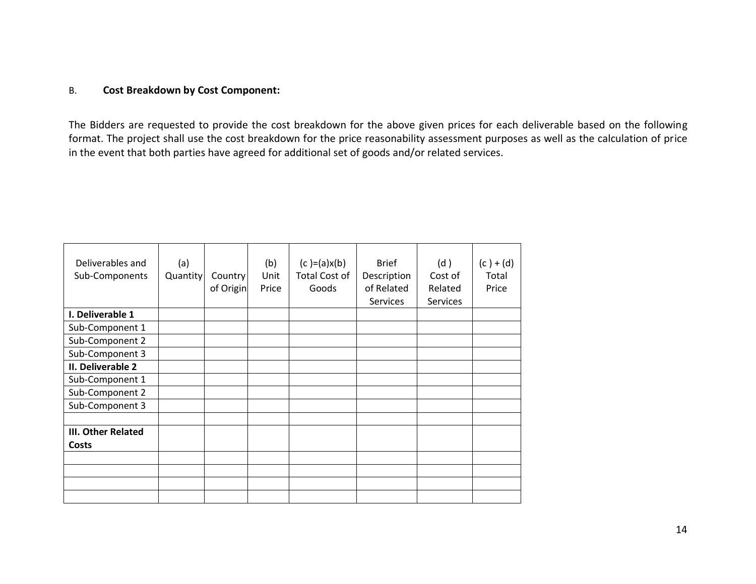#### B. **Cost Breakdown by Cost Component:**

The Bidders are requested to provide the cost breakdown for the above given prices for each deliverable based on the following format. The project shall use the cost breakdown for the price reasonability assessment purposes as well as the calculation of price in the event that both parties have agreed for additional set of goods and/or related services.

| Deliverables and<br>Sub-Components | (a)<br>Quantity | Country<br>of Origin | (b)<br>Unit<br>Price | $(c) = (a)x(b)$<br><b>Total Cost of</b><br>Goods | <b>Brief</b><br>Description<br>of Related<br><b>Services</b> | (d)<br>Cost of<br>Related<br><b>Services</b> | $(c) + (d)$<br>Total<br>Price |
|------------------------------------|-----------------|----------------------|----------------------|--------------------------------------------------|--------------------------------------------------------------|----------------------------------------------|-------------------------------|
| I. Deliverable 1                   |                 |                      |                      |                                                  |                                                              |                                              |                               |
| Sub-Component 1                    |                 |                      |                      |                                                  |                                                              |                                              |                               |
| Sub-Component 2                    |                 |                      |                      |                                                  |                                                              |                                              |                               |
| Sub-Component 3                    |                 |                      |                      |                                                  |                                                              |                                              |                               |
| II. Deliverable 2                  |                 |                      |                      |                                                  |                                                              |                                              |                               |
| Sub-Component 1                    |                 |                      |                      |                                                  |                                                              |                                              |                               |
| Sub-Component 2                    |                 |                      |                      |                                                  |                                                              |                                              |                               |
| Sub-Component 3                    |                 |                      |                      |                                                  |                                                              |                                              |                               |
|                                    |                 |                      |                      |                                                  |                                                              |                                              |                               |
| <b>III. Other Related</b>          |                 |                      |                      |                                                  |                                                              |                                              |                               |
| <b>Costs</b>                       |                 |                      |                      |                                                  |                                                              |                                              |                               |
|                                    |                 |                      |                      |                                                  |                                                              |                                              |                               |
|                                    |                 |                      |                      |                                                  |                                                              |                                              |                               |
|                                    |                 |                      |                      |                                                  |                                                              |                                              |                               |
|                                    |                 |                      |                      |                                                  |                                                              |                                              |                               |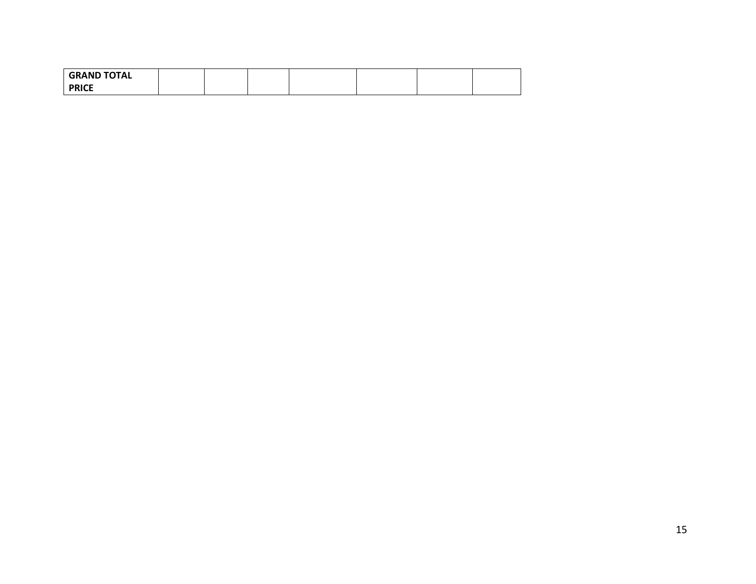| <b>GRAND TOTAL</b> |  |  |  |  |
|--------------------|--|--|--|--|
| <b>PRICE</b>       |  |  |  |  |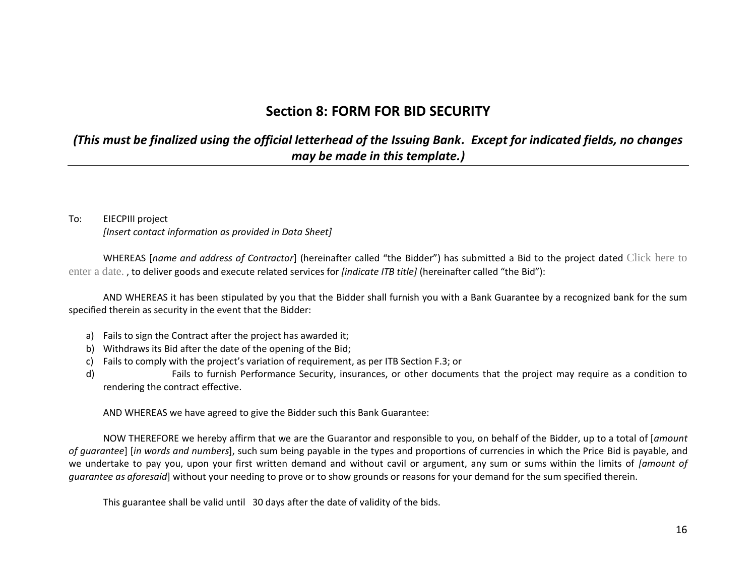### **Section 8: FORM FOR BID SECURITY**

### *(This must be finalized using the official letterhead of the Issuing Bank. Except for indicated fields, no changes may be made in this template.)*

### To: EIECPIII project

*[Insert contact information as provided in Data Sheet]*

WHEREAS [*name and address of Contractor*] (hereinafter called "the Bidder") has submitted a Bid to the project dated Click here to enter a date. , to deliver goods and execute related services for *[indicate ITB title]* (hereinafter called "the Bid"):

AND WHEREAS it has been stipulated by you that the Bidder shall furnish you with a Bank Guarantee by a recognized bank for the sum specified therein as security in the event that the Bidder:

- a) Fails to sign the Contract after the project has awarded it;
- b) Withdraws its Bid after the date of the opening of the Bid;
- c) Fails to comply with the project's variation of requirement, as per ITB Section F.3; or
- d) Fails to furnish Performance Security, insurances, or other documents that the project may require as a condition to rendering the contract effective.

AND WHEREAS we have agreed to give the Bidder such this Bank Guarantee:

NOW THEREFORE we hereby affirm that we are the Guarantor and responsible to you, on behalf of the Bidder, up to a total of [*amount of guarantee*] [*in words and numbers*], such sum being payable in the types and proportions of currencies in which the Price Bid is payable, and we undertake to pay you, upon your first written demand and without cavil or argument, any sum or sums within the limits of *[amount of guarantee as aforesaid*] without your needing to prove or to show grounds or reasons for your demand for the sum specified therein.

This guarantee shall be valid until 30 days after the date of validity of the bids.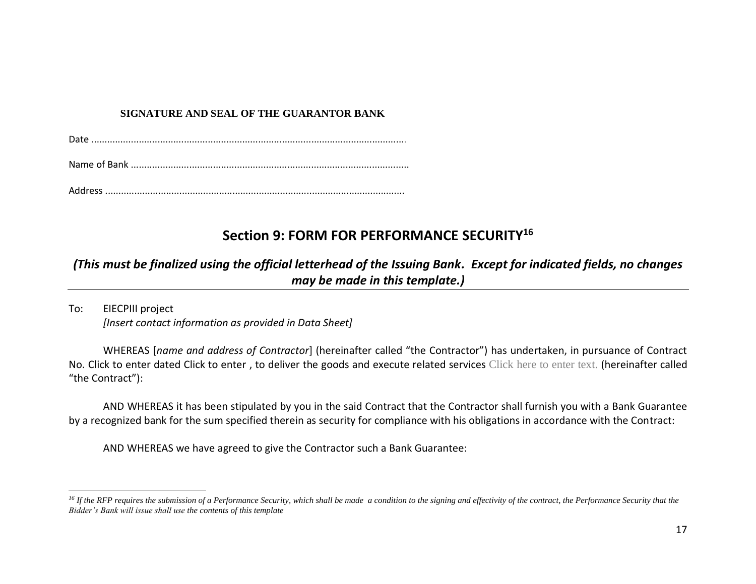#### **SIGNATURE AND SEAL OF THE GUARANTOR BANK**

Date .......................................................................................................................

Name of Bank .........................................................................................................

Address .................................................................................................................

### **Section 9: FORM FOR PERFORMANCE SECURITY<sup>16</sup>**

*(This must be finalized using the official letterhead of the Issuing Bank. Except for indicated fields, no changes may be made in this template.)*

To: EIECPIII project *[Insert contact information as provided in Data Sheet]*

WHEREAS [*name and address of Contractor*] (hereinafter called "the Contractor") has undertaken, in pursuance of Contract No. Click to enter dated Click to enter , to deliver the goods and execute related services Click here to enter text. (hereinafter called "the Contract"):

AND WHEREAS it has been stipulated by you in the said Contract that the Contractor shall furnish you with a Bank Guarantee by a recognized bank for the sum specified therein as security for compliance with his obligations in accordance with the Contract:

AND WHEREAS we have agreed to give the Contractor such a Bank Guarantee:

<sup>&</sup>lt;sup>16</sup> If the RFP requires the submission of a Performance Security, which shall be made a condition to the signing and effectivity of the contract, the Performance Security that the *Bidder's Bank will issue shall use the contents of this template*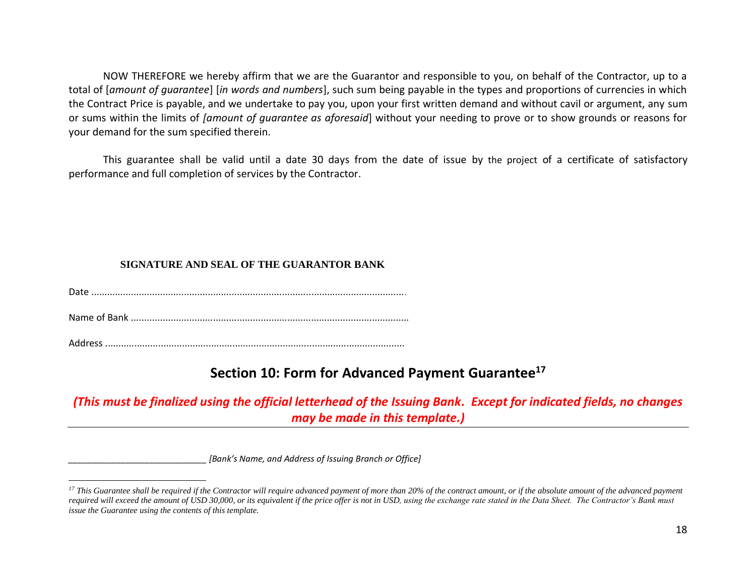NOW THEREFORE we hereby affirm that we are the Guarantor and responsible to you, on behalf of the Contractor, up to a total of [*amount of guarantee*] [*in words and numbers*], such sum being payable in the types and proportions of currencies in which the Contract Price is payable, and we undertake to pay you, upon your first written demand and without cavil or argument, any sum or sums within the limits of *[amount of guarantee as aforesaid*] without your needing to prove or to show grounds or reasons for your demand for the sum specified therein.

This guarantee shall be valid until a date 30 days from the date of issue by the project of a certificate of satisfactory performance and full completion of services by the Contractor.

#### **SIGNATURE AND SEAL OF THE GUARANTOR BANK**

Date .......................................................................................................................

Name of Bank .........................................................................................................

Address .................................................................................................................

### **Section 10: Form for Advanced Payment Guarantee<sup>17</sup>**

*(This must be finalized using the official letterhead of the Issuing Bank. Except for indicated fields, no changes may be made in this template.)*

*\_\_\_\_\_\_\_\_\_\_\_\_\_\_\_\_\_\_\_\_\_\_\_\_\_\_\_\_\_ [Bank's Name, and Address of Issuing Branch or Office]*

<sup>&</sup>lt;sup>17</sup> This Guarantee shall be required if the Contractor will require advanced payment of more than 20% of the contract amount, or if the absolute amount of the advanced payment *required will exceed the amount of USD 30,000, or its equivalent if the price offer is not in USD, using the exchange rate stated in the Data Sheet. The Contractor's Bank must issue the Guarantee using the contents of this template.*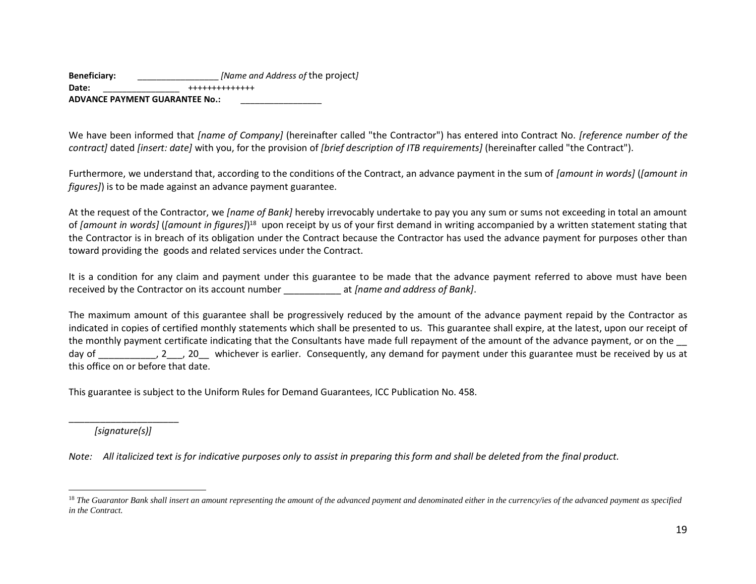**Beneficiary:** \_\_\_\_\_\_\_\_\_\_\_\_\_\_\_\_\_ *[Name and Address of* the project*]* **Date:** \_\_\_\_\_\_\_\_\_\_\_\_\_\_\_\_ ++++++++++++++ **ADVANCE PAYMENT GUARANTEE No.:** 

We have been informed that *[name of Company]* (hereinafter called "the Contractor") has entered into Contract No. *[reference number of the contract]* dated *[insert: date]* with you, for the provision of *[brief description of ITB requirements]* (hereinafter called "the Contract").

Furthermore, we understand that, according to the conditions of the Contract, an advance payment in the sum of *[amount in words]* (*[amount in figures]*) is to be made against an advance payment guarantee.

At the request of the Contractor, we *[name of Bank]* hereby irrevocably undertake to pay you any sum or sums not exceeding in total an amount of *[amount in words]* (*[amount in figures]*)<sup>18</sup> upon receipt by us of your first demand in writing accompanied by a written statement stating that the Contractor is in breach of its obligation under the Contract because the Contractor has used the advance payment for purposes other than toward providing the goods and related services under the Contract.

It is a condition for any claim and payment under this guarantee to be made that the advance payment referred to above must have been received by the Contractor on its account number \_\_\_\_\_\_\_\_\_\_\_ at *[name and address of Bank]*.

The maximum amount of this guarantee shall be progressively reduced by the amount of the advance payment repaid by the Contractor as indicated in copies of certified monthly statements which shall be presented to us. This guarantee shall expire, at the latest, upon our receipt of the monthly payment certificate indicating that the Consultants have made full repayment of the amount of the advance payment, or on the day of \_\_\_\_\_\_\_\_\_\_\_\_, 2\_\_\_, 20\_\_\_ whichever is earlier. Consequently, any demand for payment under this guarantee must be received by us at this office on or before that date.

This guarantee is subject to the Uniform Rules for Demand Guarantees, ICC Publication No. 458.

\_\_\_\_\_\_\_\_\_\_\_\_\_\_\_\_\_\_\_\_\_ *[signature(s)]*

*Note: All italicized text is for indicative purposes only to assist in preparing this form and shall be deleted from the final product.*

<sup>&</sup>lt;sup>18</sup> The Guarantor Bank shall insert an amount representing the amount of the advanced payment and denominated either in the currency/ies of the advanced payment as specified *in the Contract.*